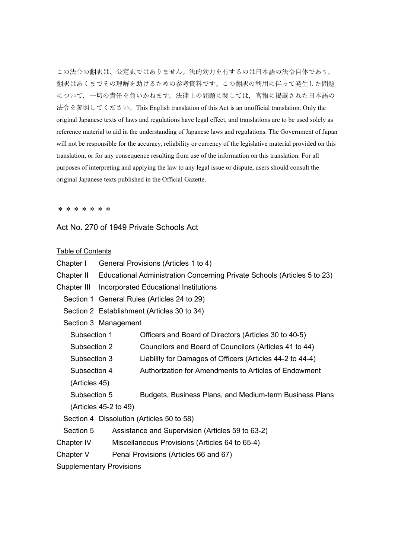この法令の翻訳は、公定訳ではありません。法的効力を有するのは日本語の法令自体であり, 翻訳はあくまでその理解を助けるための参考資料です。この翻訳の利用に伴って発生した問題 について,一切の責任を負いかねます。法律上の問題に関しては,官報に掲載された日本語の 法令を参照してください。This English translation of this Act is an unofficial translation. Only the original Japanese texts of laws and regulations have legal effect, and translations are to be used solely as reference material to aid in the understanding of Japanese laws and regulations. The Government of Japan will not be responsible for the accuracy, reliability or currency of the legislative material provided on this translation, or for any consequence resulting from use of the information on this translation. For all purposes of interpreting and applying the law to any legal issue or dispute, users should consult the original Japanese texts published in the Official Gazette.

\*\*\*\*\*\*\*

#### Act No. 270 of 1949 Private Schools Act

#### Table of Contents

| Chapter I<br>General Provisions (Articles 1 to 4) |  |
|---------------------------------------------------|--|
|---------------------------------------------------|--|

Chapter II Educational Administration Concerning Private Schools (Articles 5 to 23)

Chapter III Incorporated Educational Institutions

Section 1 General Rules (Articles 24 to 29)

Section 2 Establishment (Articles 30 to 34)

Section 3 Management

Subsection 1 Officers and Board of Directors (Articles 30 to 40-5)

Subsection 2 Councilors and Board of Councilors (Articles 41 to 44)

Subsection 3 Liability for Damages of Officers (Articles 44-2 to 44-4)

Subsection 4 Authorization for Amendments to Articles of Endowment

(Articles 45)

Subsection 5 Budgets, Business Plans, and Medium-term Business Plans (Articles 45-2 to 49)

Section 4 Dissolution (Articles 50 to 58)

Section 5 Assistance and Supervision (Articles 59 to 63-2)

- Chapter IV Miscellaneous Provisions (Articles 64 to 65-4)
- Chapter V Penal Provisions (Articles 66 and 67)

Supplementary Provisions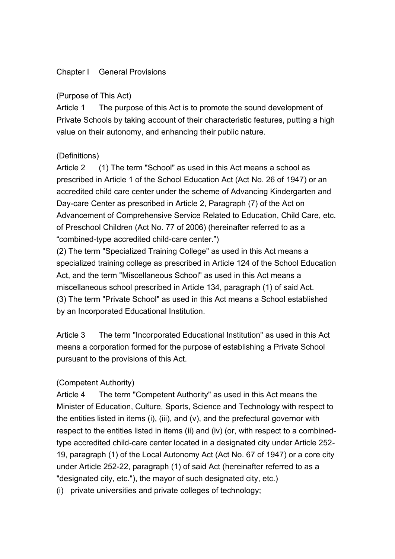# Chapter I General Provisions

# (Purpose of This Act)

Article 1 The purpose of this Act is to promote the sound development of Private Schools by taking account of their characteristic features, putting a high value on their autonomy, and enhancing their public nature.

# (Definitions)

Article 2 (1) The term "School" as used in this Act means a school as prescribed in Article 1 of the School Education Act (Act No. 26 of 1947) or an accredited child care center under the scheme of Advancing Kindergarten and Day-care Center as prescribed in Article 2, Paragraph (7) of the Act on Advancement of Comprehensive Service Related to Education, Child Care, etc. of Preschool Children (Act No. 77 of 2006) (hereinafter referred to as a "combined-type accredited child-care center.")

(2) The term "Specialized Training College" as used in this Act means a specialized training college as prescribed in Article 124 of the School Education Act, and the term "Miscellaneous School" as used in this Act means a miscellaneous school prescribed in Article 134, paragraph (1) of said Act. (3) The term "Private School" as used in this Act means a School established by an Incorporated Educational Institution.

Article 3 The term "Incorporated Educational Institution" as used in this Act means a corporation formed for the purpose of establishing a Private School pursuant to the provisions of this Act.

# (Competent Authority)

Article 4 The term "Competent Authority" as used in this Act means the Minister of Education, Culture, Sports, Science and Technology with respect to the entities listed in items (i), (iii), and (v), and the prefectural governor with respect to the entities listed in items (ii) and (iv) (or, with respect to a combinedtype accredited child-care center located in a designated city under Article 252- 19, paragraph (1) of the Local Autonomy Act (Act No. 67 of 1947) or a core city under Article 252-22, paragraph (1) of said Act (hereinafter referred to as a "designated city, etc."), the mayor of such designated city, etc.)

(i) private universities and private colleges of technology;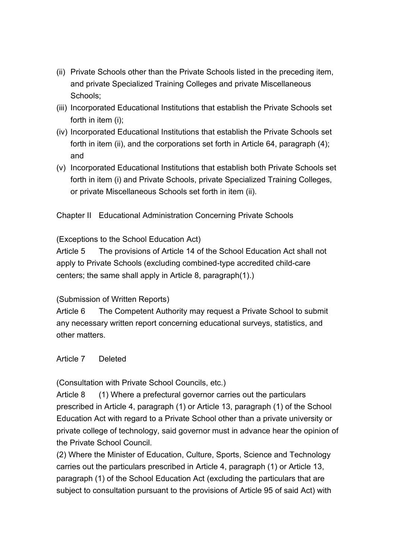- (ii) Private Schools other than the Private Schools listed in the preceding item, and private Specialized Training Colleges and private Miscellaneous Schools;
- (iii) Incorporated Educational Institutions that establish the Private Schools set forth in item (i);
- (iv) Incorporated Educational Institutions that establish the Private Schools set forth in item (ii), and the corporations set forth in Article 64, paragraph (4); and
- (v) Incorporated Educational Institutions that establish both Private Schools set forth in item (i) and Private Schools, private Specialized Training Colleges, or private Miscellaneous Schools set forth in item (ii).

Chapter II Educational Administration Concerning Private Schools

(Exceptions to the School Education Act)

Article 5 The provisions of Article 14 of the School Education Act shall not apply to Private Schools (excluding combined-type accredited child-care centers; the same shall apply in Article 8, paragraph(1).)

# (Submission of Written Reports)

Article 6 The Competent Authority may request a Private School to submit any necessary written report concerning educational surveys, statistics, and other matters.

# Article 7 Deleted

(Consultation with Private School Councils, etc.)

Article 8 (1) Where a prefectural governor carries out the particulars prescribed in Article 4, paragraph (1) or Article 13, paragraph (1) of the School Education Act with regard to a Private School other than a private university or private college of technology, said governor must in advance hear the opinion of the Private School Council.

(2) Where the Minister of Education, Culture, Sports, Science and Technology carries out the particulars prescribed in Article 4, paragraph (1) or Article 13, paragraph (1) of the School Education Act (excluding the particulars that are subject to consultation pursuant to the provisions of Article 95 of said Act) with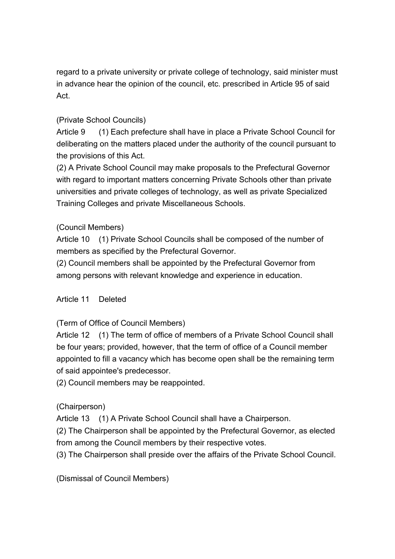regard to a private university or private college of technology, said minister must in advance hear the opinion of the council, etc. prescribed in Article 95 of said Act.

# (Private School Councils)

Article 9 (1) Each prefecture shall have in place a Private School Council for deliberating on the matters placed under the authority of the council pursuant to the provisions of this Act.

(2) A Private School Council may make proposals to the Prefectural Governor with regard to important matters concerning Private Schools other than private universities and private colleges of technology, as well as private Specialized Training Colleges and private Miscellaneous Schools.

# (Council Members)

Article 10 (1) Private School Councils shall be composed of the number of members as specified by the Prefectural Governor.

(2) Council members shall be appointed by the Prefectural Governor from among persons with relevant knowledge and experience in education.

# Article 11 Deleted

(Term of Office of Council Members)

Article 12 (1) The term of office of members of a Private School Council shall be four years; provided, however, that the term of office of a Council member appointed to fill a vacancy which has become open shall be the remaining term of said appointee's predecessor.

(2) Council members may be reappointed.

# (Chairperson)

Article 13 (1) A Private School Council shall have a Chairperson.

(2) The Chairperson shall be appointed by the Prefectural Governor, as elected from among the Council members by their respective votes.

(3) The Chairperson shall preside over the affairs of the Private School Council.

(Dismissal of Council Members)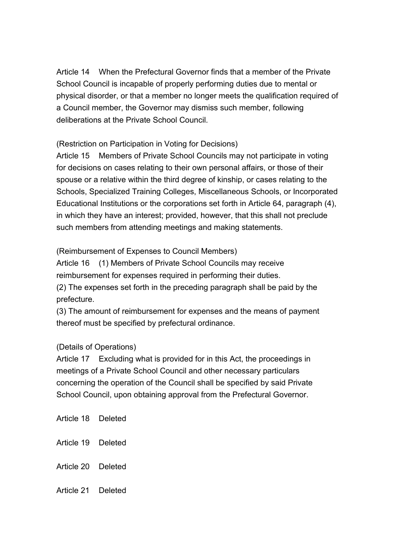Article 14 When the Prefectural Governor finds that a member of the Private School Council is incapable of properly performing duties due to mental or physical disorder, or that a member no longer meets the qualification required of a Council member, the Governor may dismiss such member, following deliberations at the Private School Council.

(Restriction on Participation in Voting for Decisions)

Article 15 Members of Private School Councils may not participate in voting for decisions on cases relating to their own personal affairs, or those of their spouse or a relative within the third degree of kinship, or cases relating to the Schools, Specialized Training Colleges, Miscellaneous Schools, or Incorporated Educational Institutions or the corporations set forth in Article 64, paragraph (4), in which they have an interest; provided, however, that this shall not preclude such members from attending meetings and making statements.

(Reimbursement of Expenses to Council Members)

Article 16 (1) Members of Private School Councils may receive reimbursement for expenses required in performing their duties.

(2) The expenses set forth in the preceding paragraph shall be paid by the prefecture.

(3) The amount of reimbursement for expenses and the means of payment thereof must be specified by prefectural ordinance.

# (Details of Operations)

Article 17 Excluding what is provided for in this Act, the proceedings in meetings of a Private School Council and other necessary particulars concerning the operation of the Council shall be specified by said Private School Council, upon obtaining approval from the Prefectural Governor.

Article 18 Deleted Article 19 Deleted Article 20 Deleted Article 21 Deleted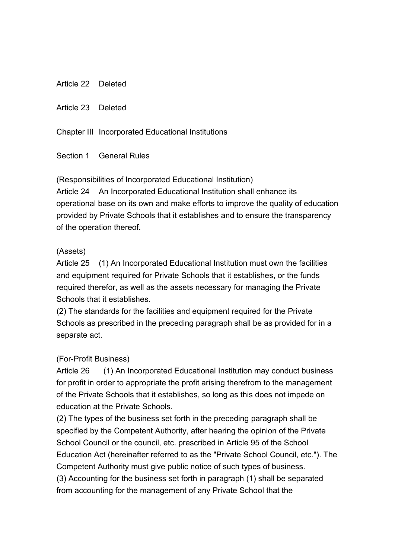Article 22 Deleted

Article 23 Deleted

Chapter III Incorporated Educational Institutions

Section 1 General Rules

(Responsibilities of Incorporated Educational Institution)

Article 24 An Incorporated Educational Institution shall enhance its operational base on its own and make efforts to improve the quality of education provided by Private Schools that it establishes and to ensure the transparency of the operation thereof.

#### (Assets)

Article 25 (1) An Incorporated Educational Institution must own the facilities and equipment required for Private Schools that it establishes, or the funds required therefor, as well as the assets necessary for managing the Private Schools that it establishes.

(2) The standards for the facilities and equipment required for the Private Schools as prescribed in the preceding paragraph shall be as provided for in a separate act.

#### (For-Profit Business)

Article 26 (1) An Incorporated Educational Institution may conduct business for profit in order to appropriate the profit arising therefrom to the management of the Private Schools that it establishes, so long as this does not impede on education at the Private Schools.

(2) The types of the business set forth in the preceding paragraph shall be specified by the Competent Authority, after hearing the opinion of the Private School Council or the council, etc. prescribed in Article 95 of the School Education Act (hereinafter referred to as the "Private School Council, etc."). The Competent Authority must give public notice of such types of business. (3) Accounting for the business set forth in paragraph (1) shall be separated from accounting for the management of any Private School that the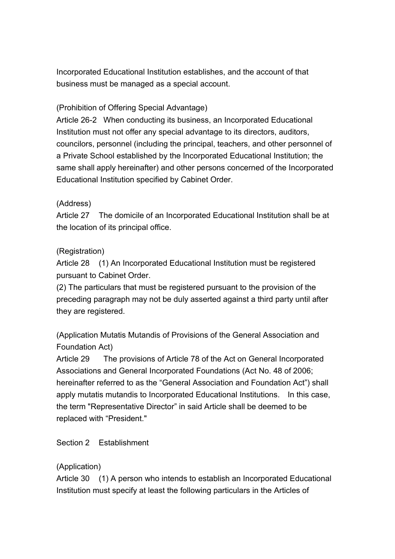Incorporated Educational Institution establishes, and the account of that business must be managed as a special account.

# (Prohibition of Offering Special Advantage)

Article 26-2 When conducting its business, an Incorporated Educational Institution must not offer any special advantage to its directors, auditors, councilors, personnel (including the principal, teachers, and other personnel of a Private School established by the Incorporated Educational Institution; the same shall apply hereinafter) and other persons concerned of the Incorporated Educational Institution specified by Cabinet Order.

# (Address)

Article 27 The domicile of an Incorporated Educational Institution shall be at the location of its principal office.

# (Registration)

Article 28 (1) An Incorporated Educational Institution must be registered pursuant to Cabinet Order.

(2) The particulars that must be registered pursuant to the provision of the preceding paragraph may not be duly asserted against a third party until after they are registered.

(Application Mutatis Mutandis of Provisions of the General Association and Foundation Act)

Article 29 The provisions of Article 78 of the Act on General Incorporated Associations and General Incorporated Foundations (Act No. 48 of 2006; hereinafter referred to as the "General Association and Foundation Act") shall apply mutatis mutandis to Incorporated Educational Institutions. In this case, the term "Representative Director" in said Article shall be deemed to be replaced with "President."

# Section 2 Establishment

# (Application)

Article 30 (1) A person who intends to establish an Incorporated Educational Institution must specify at least the following particulars in the Articles of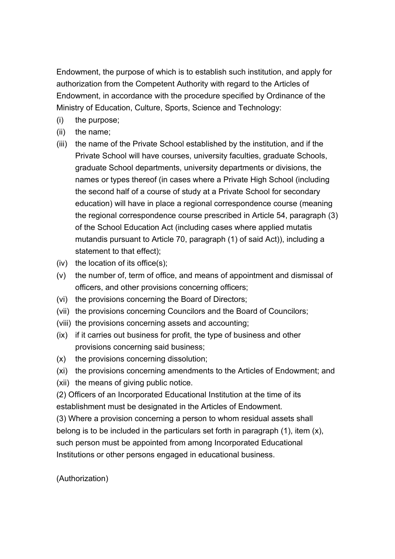Endowment, the purpose of which is to establish such institution, and apply for authorization from the Competent Authority with regard to the Articles of Endowment, in accordance with the procedure specified by Ordinance of the Ministry of Education, Culture, Sports, Science and Technology:

- (i) the purpose;
- (ii) the name;
- (iii) the name of the Private School established by the institution, and if the Private School will have courses, university faculties, graduate Schools, graduate School departments, university departments or divisions, the names or types thereof (in cases where a Private High School (including the second half of a course of study at a Private School for secondary education) will have in place a regional correspondence course (meaning the regional correspondence course prescribed in Article 54, paragraph (3) of the School Education Act (including cases where applied mutatis mutandis pursuant to Article 70, paragraph (1) of said Act)), including a statement to that effect);
- $(iv)$  the location of its office $(s)$ ;
- (v) the number of, term of office, and means of appointment and dismissal of officers, and other provisions concerning officers;
- (vi) the provisions concerning the Board of Directors;
- (vii) the provisions concerning Councilors and the Board of Councilors;
- (viii) the provisions concerning assets and accounting;
- (ix) if it carries out business for profit, the type of business and other provisions concerning said business;
- (x) the provisions concerning dissolution;
- (xi) the provisions concerning amendments to the Articles of Endowment; and
- (xii) the means of giving public notice.
- (2) Officers of an Incorporated Educational Institution at the time of its

establishment must be designated in the Articles of Endowment.

(3) Where a provision concerning a person to whom residual assets shall belong is to be included in the particulars set forth in paragraph (1), item (x), such person must be appointed from among Incorporated Educational Institutions or other persons engaged in educational business.

(Authorization)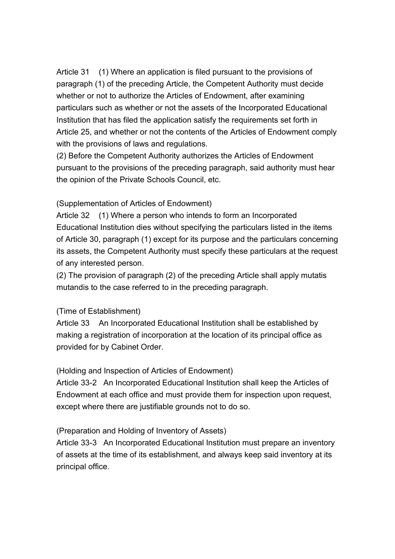Article 31 (1) Where an application is filed pursuant to the provisions of paragraph (1) of the preceding Article, the Competent Authority must decide whether or not to authorize the Articles of Endowment, after examining particulars such as whether or not the assets of the Incorporated Educational Institution that has filed the application satisfy the requirements set forth in Article 25, and whether or not the contents of the Articles of Endowment comply with the provisions of laws and regulations.

(2) Before the Competent Authority authorizes the Articles of Endowment pursuant to the provisions of the preceding paragraph, said authority must hear the opinion of the Private Schools Council, etc.

#### (Supplementation of Articles of Endowment)

Article 32 (1) Where a person who intends to form an Incorporated Educational Institution dies without specifying the particulars listed in the items of Article 30, paragraph (1) except for its purpose and the particulars concerning its assets, the Competent Authority must specify these particulars at the request of any interested person.

(2) The provision of paragraph (2) of the preceding Article shall apply mutatis mutandis to the case referred to in the preceding paragraph.

# (Time of Establishment)

Article 33 An Incorporated Educational Institution shall be established by making a registration of incorporation at the location of its principal office as provided for by Cabinet Order.

# (Holding and Inspection of Articles of Endowment)

Article 33-2 An Incorporated Educational Institution shall keep the Articles of Endowment at each office and must provide them for inspection upon request, except where there are justifiable grounds not to do so.

# (Preparation and Holding of Inventory of Assets)

Article 33-3 An Incorporated Educational Institution must prepare an inventory of assets at the time of its establishment, and always keep said inventory at its principal office.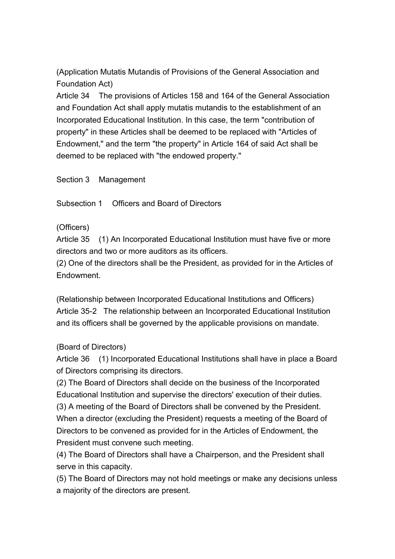(Application Mutatis Mutandis of Provisions of the General Association and Foundation Act)

Article 34 The provisions of Articles 158 and 164 of the General Association and Foundation Act shall apply mutatis mutandis to the establishment of an Incorporated Educational Institution. In this case, the term "contribution of property" in these Articles shall be deemed to be replaced with "Articles of Endowment," and the term "the property" in Article 164 of said Act shall be deemed to be replaced with "the endowed property."

Section 3 Management

Subsection 1 Officers and Board of Directors

#### (Officers)

Article 35 (1) An Incorporated Educational Institution must have five or more directors and two or more auditors as its officers.

(2) One of the directors shall be the President, as provided for in the Articles of Endowment.

(Relationship between Incorporated Educational Institutions and Officers) Article 35-2 The relationship between an Incorporated Educational Institution and its officers shall be governed by the applicable provisions on mandate.

# (Board of Directors)

Article 36 (1) Incorporated Educational Institutions shall have in place a Board of Directors comprising its directors.

(2) The Board of Directors shall decide on the business of the Incorporated Educational Institution and supervise the directors' execution of their duties. (3) A meeting of the Board of Directors shall be convened by the President. When a director (excluding the President) requests a meeting of the Board of Directors to be convened as provided for in the Articles of Endowment, the President must convene such meeting.

(4) The Board of Directors shall have a Chairperson, and the President shall serve in this capacity.

(5) The Board of Directors may not hold meetings or make any decisions unless a majority of the directors are present.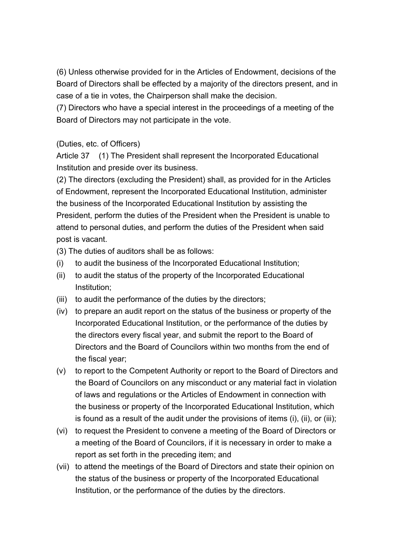(6) Unless otherwise provided for in the Articles of Endowment, decisions of the Board of Directors shall be effected by a majority of the directors present, and in case of a tie in votes, the Chairperson shall make the decision.

(7) Directors who have a special interest in the proceedings of a meeting of the Board of Directors may not participate in the vote.

# (Duties, etc. of Officers)

Article 37 (1) The President shall represent the Incorporated Educational Institution and preside over its business.

(2) The directors (excluding the President) shall, as provided for in the Articles of Endowment, represent the Incorporated Educational Institution, administer the business of the Incorporated Educational Institution by assisting the President, perform the duties of the President when the President is unable to attend to personal duties, and perform the duties of the President when said post is vacant.

(3) The duties of auditors shall be as follows:

- (i) to audit the business of the Incorporated Educational Institution;
- (ii) to audit the status of the property of the Incorporated Educational Institution;
- (iii) to audit the performance of the duties by the directors;
- (iv) to prepare an audit report on the status of the business or property of the Incorporated Educational Institution, or the performance of the duties by the directors every fiscal year, and submit the report to the Board of Directors and the Board of Councilors within two months from the end of the fiscal year;
- (v) to report to the Competent Authority or report to the Board of Directors and the Board of Councilors on any misconduct or any material fact in violation of laws and regulations or the Articles of Endowment in connection with the business or property of the Incorporated Educational Institution, which is found as a result of the audit under the provisions of items (i), (ii), or (iii);
- (vi) to request the President to convene a meeting of the Board of Directors or a meeting of the Board of Councilors, if it is necessary in order to make a report as set forth in the preceding item; and
- (vii) to attend the meetings of the Board of Directors and state their opinion on the status of the business or property of the Incorporated Educational Institution, or the performance of the duties by the directors.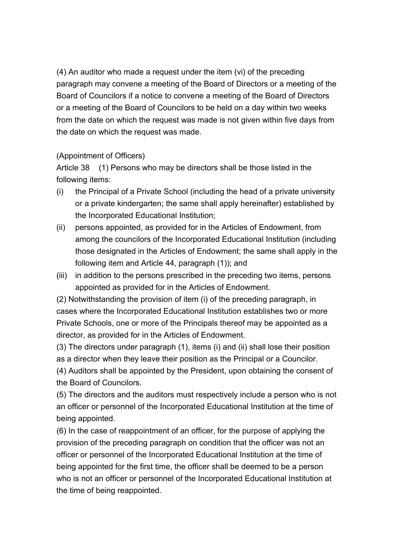(4) An auditor who made a request under the item (vi) of the preceding paragraph may convene a meeting of the Board of Directors or a meeting of the Board of Councilors if a notice to convene a meeting of the Board of Directors or a meeting of the Board of Councilors to be held on a day within two weeks from the date on which the request was made is not given within five days from the date on which the request was made.

#### (Appointment of Officers)

Article 38 (1) Persons who may be directors shall be those listed in the following items:

- (i) the Principal of a Private School (including the head of a private university or a private kindergarten; the same shall apply hereinafter) established by the Incorporated Educational Institution;
- (ii) persons appointed, as provided for in the Articles of Endowment, from among the councilors of the Incorporated Educational Institution (including those designated in the Articles of Endowment; the same shall apply in the following item and Article 44, paragraph (1)); and
- (iii) in addition to the persons prescribed in the preceding two items, persons appointed as provided for in the Articles of Endowment.

(2) Notwithstanding the provision of item (i) of the preceding paragraph, in cases where the Incorporated Educational Institution establishes two or more Private Schools, one or more of the Principals thereof may be appointed as a director, as provided for in the Articles of Endowment.

(3) The directors under paragraph (1), items (i) and (ii) shall lose their position as a director when they leave their position as the Principal or a Councilor.

(4) Auditors shall be appointed by the President, upon obtaining the consent of the Board of Councilors.

(5) The directors and the auditors must respectively include a person who is not an officer or personnel of the Incorporated Educational Institution at the time of being appointed.

(6) In the case of reappointment of an officer, for the purpose of applying the provision of the preceding paragraph on condition that the officer was not an officer or personnel of the Incorporated Educational Institution at the time of being appointed for the first time, the officer shall be deemed to be a person who is not an officer or personnel of the Incorporated Educational Institution at the time of being reappointed.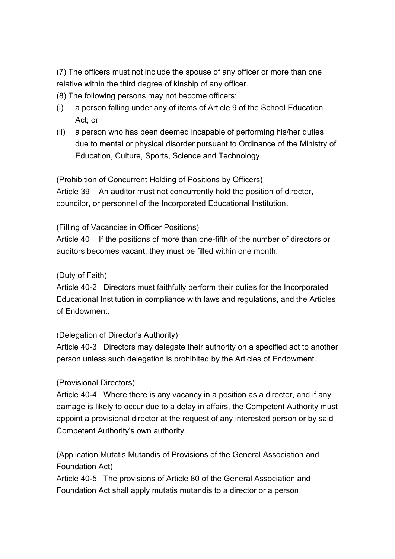(7) The officers must not include the spouse of any officer or more than one relative within the third degree of kinship of any officer.

- (8) The following persons may not become officers:
- (i) a person falling under any of items of Article 9 of the School Education Act; or
- (ii) a person who has been deemed incapable of performing his/her duties due to mental or physical disorder pursuant to Ordinance of the Ministry of Education, Culture, Sports, Science and Technology.

(Prohibition of Concurrent Holding of Positions by Officers) Article 39 An auditor must not concurrently hold the position of director, councilor, or personnel of the Incorporated Educational Institution.

#### (Filling of Vacancies in Officer Positions)

Article 40 If the positions of more than one-fifth of the number of directors or auditors becomes vacant, they must be filled within one month.

#### (Duty of Faith)

Article 40-2 Directors must faithfully perform their duties for the Incorporated Educational Institution in compliance with laws and regulations, and the Articles of Endowment.

# (Delegation of Director's Authority)

Article 40-3 Directors may delegate their authority on a specified act to another person unless such delegation is prohibited by the Articles of Endowment.

#### (Provisional Directors)

Article 40-4 Where there is any vacancy in a position as a director, and if any damage is likely to occur due to a delay in affairs, the Competent Authority must appoint a provisional director at the request of any interested person or by said Competent Authority's own authority.

(Application Mutatis Mutandis of Provisions of the General Association and Foundation Act)

Article 40-5 The provisions of Article 80 of the General Association and Foundation Act shall apply mutatis mutandis to a director or a person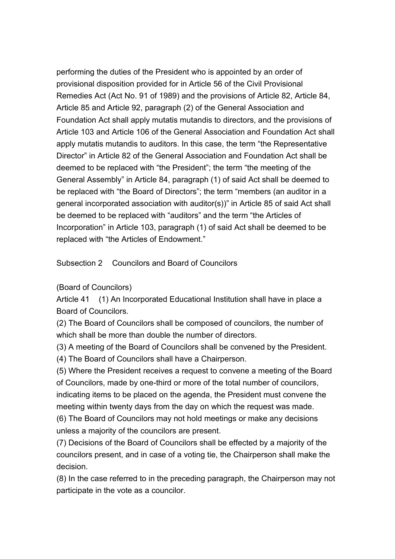performing the duties of the President who is appointed by an order of provisional disposition provided for in Article 56 of the Civil Provisional Remedies Act (Act No. 91 of 1989) and the provisions of Article 82, Article 84, Article 85 and Article 92, paragraph (2) of the General Association and Foundation Act shall apply mutatis mutandis to directors, and the provisions of Article 103 and Article 106 of the General Association and Foundation Act shall apply mutatis mutandis to auditors. In this case, the term "the Representative Director" in Article 82 of the General Association and Foundation Act shall be deemed to be replaced with "the President"; the term "the meeting of the General Assembly" in Article 84, paragraph (1) of said Act shall be deemed to be replaced with "the Board of Directors"; the term "members (an auditor in a general incorporated association with auditor(s))" in Article 85 of said Act shall be deemed to be replaced with "auditors" and the term "the Articles of Incorporation" in Article 103, paragraph (1) of said Act shall be deemed to be replaced with "the Articles of Endowment."

Subsection 2 Councilors and Board of Councilors

# (Board of Councilors)

Article 41 (1) An Incorporated Educational Institution shall have in place a Board of Councilors.

(2) The Board of Councilors shall be composed of councilors, the number of which shall be more than double the number of directors.

(3) A meeting of the Board of Councilors shall be convened by the President.

(4) The Board of Councilors shall have a Chairperson.

(5) Where the President receives a request to convene a meeting of the Board of Councilors, made by one-third or more of the total number of councilors, indicating items to be placed on the agenda, the President must convene the meeting within twenty days from the day on which the request was made.

(6) The Board of Councilors may not hold meetings or make any decisions unless a majority of the councilors are present.

(7) Decisions of the Board of Councilors shall be effected by a majority of the councilors present, and in case of a voting tie, the Chairperson shall make the decision.

(8) In the case referred to in the preceding paragraph, the Chairperson may not participate in the vote as a councilor.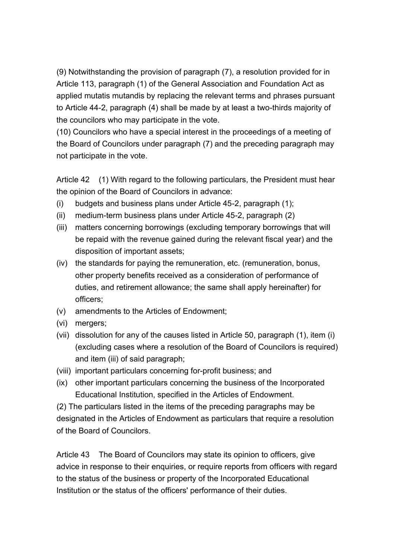(9) Notwithstanding the provision of paragraph (7), a resolution provided for in Article 113, paragraph (1) of the General Association and Foundation Act as applied mutatis mutandis by replacing the relevant terms and phrases pursuant to Article 44-2, paragraph (4) shall be made by at least a two-thirds majority of the councilors who may participate in the vote.

(10) Councilors who have a special interest in the proceedings of a meeting of the Board of Councilors under paragraph (7) and the preceding paragraph may not participate in the vote.

Article 42 (1) With regard to the following particulars, the President must hear the opinion of the Board of Councilors in advance:

- (i) budgets and business plans under Article 45-2, paragraph (1);
- (ii) medium-term business plans under Article 45-2, paragraph (2)
- (iii) matters concerning borrowings (excluding temporary borrowings that will be repaid with the revenue gained during the relevant fiscal year) and the disposition of important assets;
- (iv) the standards for paying the remuneration, etc. (remuneration, bonus, other property benefits received as a consideration of performance of duties, and retirement allowance; the same shall apply hereinafter) for officers;
- (v) amendments to the Articles of Endowment;
- (vi) mergers;
- (vii) dissolution for any of the causes listed in Article 50, paragraph (1), item (i) (excluding cases where a resolution of the Board of Councilors is required) and item (iii) of said paragraph;
- (viii) important particulars concerning for-profit business; and
- (ix) other important particulars concerning the business of the Incorporated Educational Institution, specified in the Articles of Endowment.

(2) The particulars listed in the items of the preceding paragraphs may be designated in the Articles of Endowment as particulars that require a resolution of the Board of Councilors.

Article 43 The Board of Councilors may state its opinion to officers, give advice in response to their enquiries, or require reports from officers with regard to the status of the business or property of the Incorporated Educational Institution or the status of the officers' performance of their duties.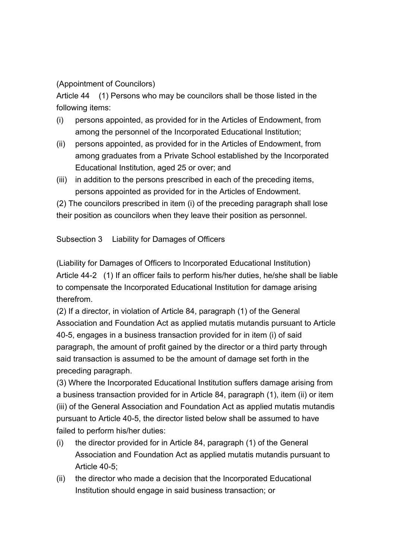(Appointment of Councilors)

Article 44 (1) Persons who may be councilors shall be those listed in the following items:

- (i) persons appointed, as provided for in the Articles of Endowment, from among the personnel of the Incorporated Educational Institution;
- (ii) persons appointed, as provided for in the Articles of Endowment, from among graduates from a Private School established by the Incorporated Educational Institution, aged 25 or over; and
- (iii) in addition to the persons prescribed in each of the preceding items, persons appointed as provided for in the Articles of Endowment.

(2) The councilors prescribed in item (i) of the preceding paragraph shall lose their position as councilors when they leave their position as personnel.

Subsection 3 Liability for Damages of Officers

(Liability for Damages of Officers to Incorporated Educational Institution) Article 44-2 (1) If an officer fails to perform his/her duties, he/she shall be liable to compensate the Incorporated Educational Institution for damage arising therefrom.

(2) If a director, in violation of Article 84, paragraph (1) of the General Association and Foundation Act as applied mutatis mutandis pursuant to Article 40-5, engages in a business transaction provided for in item (i) of said paragraph, the amount of profit gained by the director or a third party through said transaction is assumed to be the amount of damage set forth in the preceding paragraph.

(3) Where the Incorporated Educational Institution suffers damage arising from a business transaction provided for in Article 84, paragraph (1), item (ii) or item (iii) of the General Association and Foundation Act as applied mutatis mutandis pursuant to Article 40-5, the director listed below shall be assumed to have failed to perform his/her duties:

- (i) the director provided for in Article 84, paragraph (1) of the General Association and Foundation Act as applied mutatis mutandis pursuant to Article 40-5;
- (ii) the director who made a decision that the Incorporated Educational Institution should engage in said business transaction; or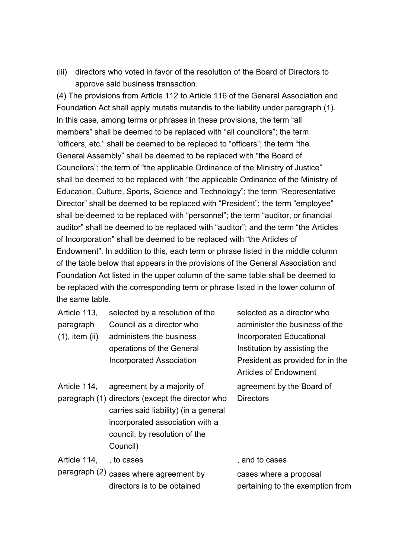(iii) directors who voted in favor of the resolution of the Board of Directors to approve said business transaction.

(4) The provisions from Article 112 to Article 116 of the General Association and Foundation Act shall apply mutatis mutandis to the liability under paragraph (1). In this case, among terms or phrases in these provisions, the term "all members" shall be deemed to be replaced with "all councilors"; the term "officers, etc." shall be deemed to be replaced to "officers"; the term "the General Assembly" shall be deemed to be replaced with "the Board of Councilors"; the term of "the applicable Ordinance of the Ministry of Justice" shall be deemed to be replaced with "the applicable Ordinance of the Ministry of Education, Culture, Sports, Science and Technology"; the term "Representative Director" shall be deemed to be replaced with "President"; the term "employee" shall be deemed to be replaced with "personnel"; the term "auditor, or financial auditor" shall be deemed to be replaced with "auditor"; and the term "the Articles of Incorporation" shall be deemed to be replaced with "the Articles of Endowment". In addition to this, each term or phrase listed in the middle column of the table below that appears in the provisions of the General Association and Foundation Act listed in the upper column of the same table shall be deemed to be replaced with the corresponding term or phrase listed in the lower column of the same table.

| Article 113,        | selected by a resolution of the                                                                                                                                           | selected as a director who       |
|---------------------|---------------------------------------------------------------------------------------------------------------------------------------------------------------------------|----------------------------------|
| paragraph           | Council as a director who                                                                                                                                                 | administer the business of the   |
| $(1)$ , item $(ii)$ | administers the business                                                                                                                                                  | Incorporated Educational         |
|                     | operations of the General                                                                                                                                                 | Institution by assisting the     |
|                     | <b>Incorporated Association</b>                                                                                                                                           | President as provided for in the |
|                     |                                                                                                                                                                           | <b>Articles of Endowment</b>     |
| Article 114,        | agreement by a majority of                                                                                                                                                | agreement by the Board of        |
|                     | paragraph (1) directors (except the director who<br>carries said liability) (in a general<br>incorporated association with a<br>council, by resolution of the<br>Council) | <b>Directors</b>                 |
| Article 114,        | , to cases                                                                                                                                                                | , and to cases                   |
|                     | paragraph (2) cases where agreement by                                                                                                                                    | cases where a proposal           |
|                     | directors is to be obtained                                                                                                                                               | pertaining to the exemption from |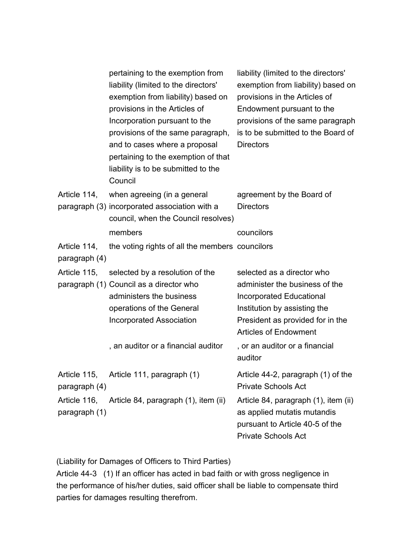|                               | pertaining to the exemption from<br>liability (limited to the directors'<br>exemption from liability) based on<br>provisions in the Articles of<br>Incorporation pursuant to the<br>provisions of the same paragraph,<br>and to cases where a proposal<br>pertaining to the exemption of that<br>liability is to be submitted to the<br>Council | liability (limited to the directors'<br>exemption from liability) based on<br>provisions in the Articles of<br>Endowment pursuant to the<br>provisions of the same paragraph<br>is to be submitted to the Board of<br><b>Directors</b> |
|-------------------------------|-------------------------------------------------------------------------------------------------------------------------------------------------------------------------------------------------------------------------------------------------------------------------------------------------------------------------------------------------|----------------------------------------------------------------------------------------------------------------------------------------------------------------------------------------------------------------------------------------|
| Article 114,                  | when agreeing (in a general<br>paragraph (3) incorporated association with a<br>council, when the Council resolves)                                                                                                                                                                                                                             | agreement by the Board of<br><b>Directors</b>                                                                                                                                                                                          |
|                               | members                                                                                                                                                                                                                                                                                                                                         | councilors                                                                                                                                                                                                                             |
| Article 114,                  | the voting rights of all the members councilors                                                                                                                                                                                                                                                                                                 |                                                                                                                                                                                                                                        |
| paragraph (4)                 |                                                                                                                                                                                                                                                                                                                                                 |                                                                                                                                                                                                                                        |
| Article 115,                  | selected by a resolution of the<br>paragraph (1) Council as a director who<br>administers the business<br>operations of the General<br><b>Incorporated Association</b>                                                                                                                                                                          | selected as a director who<br>administer the business of the<br><b>Incorporated Educational</b><br>Institution by assisting the<br>President as provided for in the<br><b>Articles of Endowment</b>                                    |
|                               | , an auditor or a financial auditor                                                                                                                                                                                                                                                                                                             | , or an auditor or a financial<br>auditor                                                                                                                                                                                              |
| Article 115,<br>paragraph (4) | Article 111, paragraph (1)                                                                                                                                                                                                                                                                                                                      | Article 44-2, paragraph (1) of the<br><b>Private Schools Act</b>                                                                                                                                                                       |
| Article 116,<br>paragraph (1) | Article 84, paragraph (1), item (ii)                                                                                                                                                                                                                                                                                                            | Article 84, paragraph (1), item (ii)<br>as applied mutatis mutandis<br>pursuant to Article 40-5 of the<br><b>Private Schools Act</b>                                                                                                   |

(Liability for Damages of Officers to Third Parties)

Article 44-3 (1) If an officer has acted in bad faith or with gross negligence in the performance of his/her duties, said officer shall be liable to compensate third parties for damages resulting therefrom.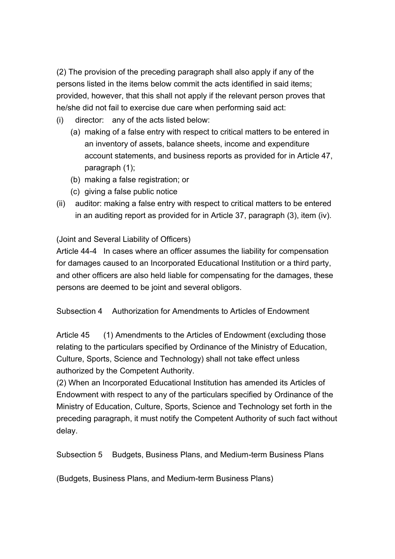(2) The provision of the preceding paragraph shall also apply if any of the persons listed in the items below commit the acts identified in said items; provided, however, that this shall not apply if the relevant person proves that he/she did not fail to exercise due care when performing said act:

- (i) director: any of the acts listed below:
	- (a) making of a false entry with respect to critical matters to be entered in an inventory of assets, balance sheets, income and expenditure account statements, and business reports as provided for in Article 47, paragraph (1);
	- (b) making a false registration; or
	- (c) giving a false public notice
- (ii) auditor: making a false entry with respect to critical matters to be entered in an auditing report as provided for in Article 37, paragraph (3), item (iv).

#### (Joint and Several Liability of Officers)

Article 44-4 In cases where an officer assumes the liability for compensation for damages caused to an Incorporated Educational Institution or a third party, and other officers are also held liable for compensating for the damages, these persons are deemed to be joint and several obligors.

Subsection 4 Authorization for Amendments to Articles of Endowment

Article 45 (1) Amendments to the Articles of Endowment (excluding those relating to the particulars specified by Ordinance of the Ministry of Education, Culture, Sports, Science and Technology) shall not take effect unless authorized by the Competent Authority.

(2) When an Incorporated Educational Institution has amended its Articles of Endowment with respect to any of the particulars specified by Ordinance of the Ministry of Education, Culture, Sports, Science and Technology set forth in the preceding paragraph, it must notify the Competent Authority of such fact without delay.

Subsection 5 Budgets, Business Plans, and Medium-term Business Plans

(Budgets, Business Plans, and Medium-term Business Plans)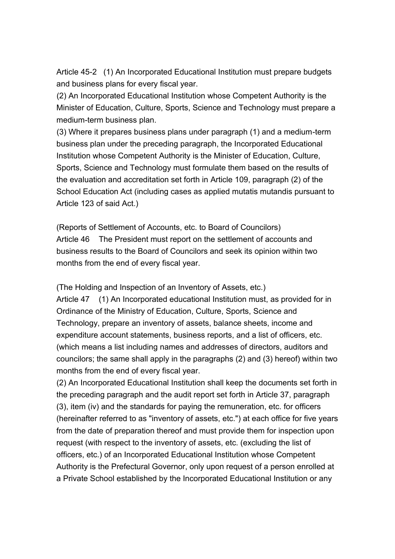Article 45-2 (1) An Incorporated Educational Institution must prepare budgets and business plans for every fiscal year.

(2) An Incorporated Educational Institution whose Competent Authority is the Minister of Education, Culture, Sports, Science and Technology must prepare a medium-term business plan.

(3) Where it prepares business plans under paragraph (1) and a medium-term business plan under the preceding paragraph, the Incorporated Educational Institution whose Competent Authority is the Minister of Education, Culture, Sports, Science and Technology must formulate them based on the results of the evaluation and accreditation set forth in Article 109, paragraph (2) of the School Education Act (including cases as applied mutatis mutandis pursuant to Article 123 of said Act.)

(Reports of Settlement of Accounts, etc. to Board of Councilors) Article 46 The President must report on the settlement of accounts and business results to the Board of Councilors and seek its opinion within two months from the end of every fiscal year.

(The Holding and Inspection of an Inventory of Assets, etc.)

Article 47 (1) An Incorporated educational Institution must, as provided for in Ordinance of the Ministry of Education, Culture, Sports, Science and Technology, prepare an inventory of assets, balance sheets, income and expenditure account statements, business reports, and a list of officers, etc. (which means a list including names and addresses of directors, auditors and councilors; the same shall apply in the paragraphs (2) and (3) hereof) within two months from the end of every fiscal year.

(2) An Incorporated Educational Institution shall keep the documents set forth in the preceding paragraph and the audit report set forth in Article 37, paragraph (3), item (iv) and the standards for paying the remuneration, etc. for officers (hereinafter referred to as "inventory of assets, etc.") at each office for five years from the date of preparation thereof and must provide them for inspection upon request (with respect to the inventory of assets, etc. (excluding the list of officers, etc.) of an Incorporated Educational Institution whose Competent Authority is the Prefectural Governor, only upon request of a person enrolled at a Private School established by the Incorporated Educational Institution or any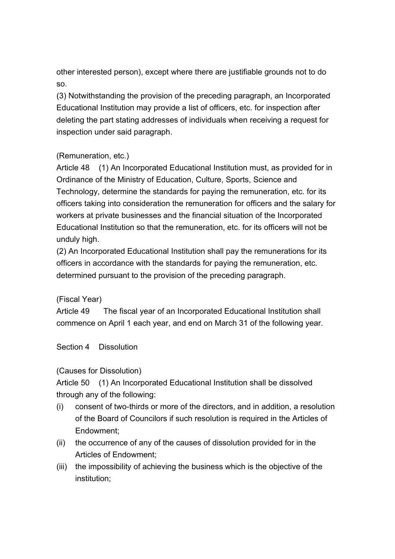other interested person), except where there are justifiable grounds not to do so.

(3) Notwithstanding the provision of the preceding paragraph, an Incorporated Educational Institution may provide a list of officers, etc. for inspection after deleting the part stating addresses of individuals when receiving a request for inspection under said paragraph.

# (Remuneration, etc.)

Article 48 (1) An Incorporated Educational Institution must, as provided for in Ordinance of the Ministry of Education, Culture, Sports, Science and Technology, determine the standards for paying the remuneration, etc. for its officers taking into consideration the remuneration for officers and the salary for workers at private businesses and the financial situation of the Incorporated Educational Institution so that the remuneration, etc. for its officers will not be unduly high.

(2) An Incorporated Educational Institution shall pay the remunerations for its officers in accordance with the standards for paying the remuneration, etc. determined pursuant to the provision of the preceding paragraph.

(Fiscal Year)

Article 49 The fiscal year of an Incorporated Educational Institution shall commence on April 1 each year, and end on March 31 of the following year.

Section 4 Dissolution

# (Causes for Dissolution)

Article 50 (1) An Incorporated Educational Institution shall be dissolved through any of the following:

- (i) consent of two-thirds or more of the directors, and in addition, a resolution of the Board of Councilors if such resolution is required in the Articles of Endowment;
- (ii) the occurrence of any of the causes of dissolution provided for in the Articles of Endowment;
- (iii) the impossibility of achieving the business which is the objective of the institution;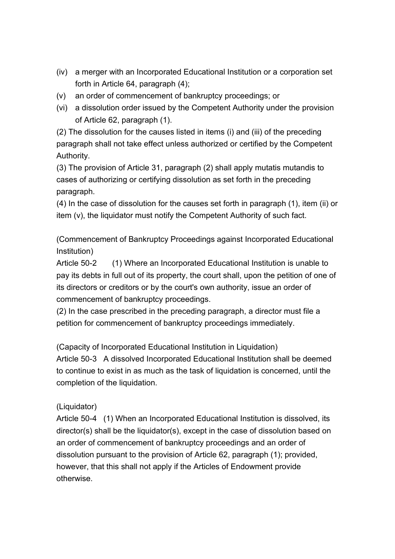- (iv) a merger with an Incorporated Educational Institution or a corporation set forth in Article 64, paragraph (4);
- (v) an order of commencement of bankruptcy proceedings; or
- (vi) a dissolution order issued by the Competent Authority under the provision of Article 62, paragraph (1).

(2) The dissolution for the causes listed in items (i) and (iii) of the preceding paragraph shall not take effect unless authorized or certified by the Competent Authority.

(3) The provision of Article 31, paragraph (2) shall apply mutatis mutandis to cases of authorizing or certifying dissolution as set forth in the preceding paragraph.

(4) In the case of dissolution for the causes set forth in paragraph (1), item (ii) or item (v), the liquidator must notify the Competent Authority of such fact.

(Commencement of Bankruptcy Proceedings against Incorporated Educational Institution)

Article 50-2 (1) Where an Incorporated Educational Institution is unable to pay its debts in full out of its property, the court shall, upon the petition of one of its directors or creditors or by the court's own authority, issue an order of commencement of bankruptcy proceedings.

(2) In the case prescribed in the preceding paragraph, a director must file a petition for commencement of bankruptcy proceedings immediately.

(Capacity of Incorporated Educational Institution in Liquidation)

Article 50-3 A dissolved Incorporated Educational Institution shall be deemed to continue to exist in as much as the task of liquidation is concerned, until the completion of the liquidation.

# (Liquidator)

Article 50-4 (1) When an Incorporated Educational Institution is dissolved, its director(s) shall be the liquidator(s), except in the case of dissolution based on an order of commencement of bankruptcy proceedings and an order of dissolution pursuant to the provision of Article 62, paragraph (1); provided, however, that this shall not apply if the Articles of Endowment provide otherwise.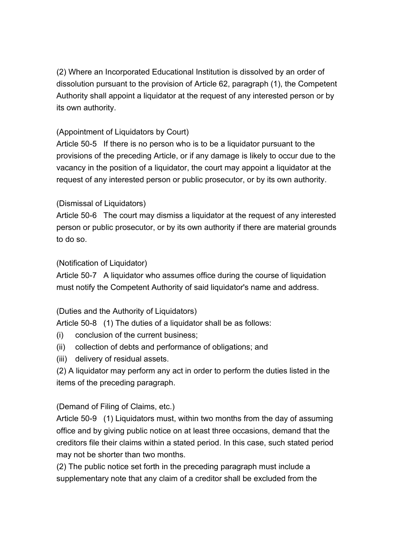(2) Where an Incorporated Educational Institution is dissolved by an order of dissolution pursuant to the provision of Article 62, paragraph (1), the Competent Authority shall appoint a liquidator at the request of any interested person or by its own authority.

# (Appointment of Liquidators by Court)

Article 50-5 If there is no person who is to be a liquidator pursuant to the provisions of the preceding Article, or if any damage is likely to occur due to the vacancy in the position of a liquidator, the court may appoint a liquidator at the request of any interested person or public prosecutor, or by its own authority.

# (Dismissal of Liquidators)

Article 50-6 The court may dismiss a liquidator at the request of any interested person or public prosecutor, or by its own authority if there are material grounds to do so.

# (Notification of Liquidator)

Article 50-7 A liquidator who assumes office during the course of liquidation must notify the Competent Authority of said liquidator's name and address.

# (Duties and the Authority of Liquidators)

Article 50-8 (1) The duties of a liquidator shall be as follows:

- (i) conclusion of the current business;
- (ii) collection of debts and performance of obligations; and
- (iii) delivery of residual assets.

(2) A liquidator may perform any act in order to perform the duties listed in the items of the preceding paragraph.

# (Demand of Filing of Claims, etc.)

Article 50-9 (1) Liquidators must, within two months from the day of assuming office and by giving public notice on at least three occasions, demand that the creditors file their claims within a stated period. In this case, such stated period may not be shorter than two months.

(2) The public notice set forth in the preceding paragraph must include a supplementary note that any claim of a creditor shall be excluded from the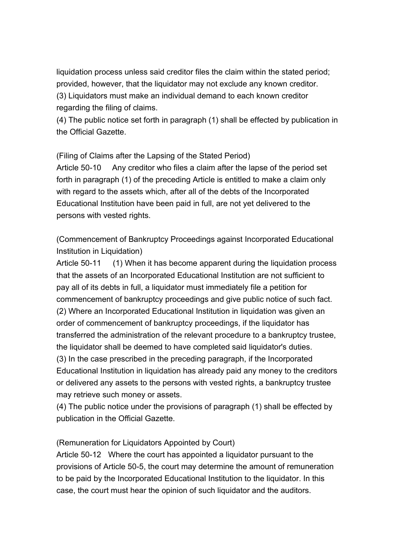liquidation process unless said creditor files the claim within the stated period; provided, however, that the liquidator may not exclude any known creditor. (3) Liquidators must make an individual demand to each known creditor regarding the filing of claims.

(4) The public notice set forth in paragraph (1) shall be effected by publication in the Official Gazette.

(Filing of Claims after the Lapsing of the Stated Period)

Article 50-10 Any creditor who files a claim after the lapse of the period set forth in paragraph (1) of the preceding Article is entitled to make a claim only with regard to the assets which, after all of the debts of the Incorporated Educational Institution have been paid in full, are not yet delivered to the persons with vested rights.

(Commencement of Bankruptcy Proceedings against Incorporated Educational Institution in Liquidation)

Article 50-11 (1) When it has become apparent during the liquidation process that the assets of an Incorporated Educational Institution are not sufficient to pay all of its debts in full, a liquidator must immediately file a petition for commencement of bankruptcy proceedings and give public notice of such fact. (2) Where an Incorporated Educational Institution in liquidation was given an order of commencement of bankruptcy proceedings, if the liquidator has transferred the administration of the relevant procedure to a bankruptcy trustee, the liquidator shall be deemed to have completed said liquidator's duties. (3) In the case prescribed in the preceding paragraph, if the Incorporated Educational Institution in liquidation has already paid any money to the creditors or delivered any assets to the persons with vested rights, a bankruptcy trustee may retrieve such money or assets.

(4) The public notice under the provisions of paragraph (1) shall be effected by publication in the Official Gazette.

(Remuneration for Liquidators Appointed by Court)

Article 50-12 Where the court has appointed a liquidator pursuant to the provisions of Article 50-5, the court may determine the amount of remuneration to be paid by the Incorporated Educational Institution to the liquidator. In this case, the court must hear the opinion of such liquidator and the auditors.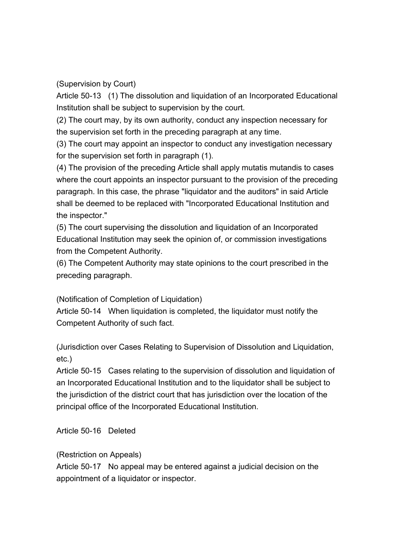(Supervision by Court)

Article 50-13 (1) The dissolution and liquidation of an Incorporated Educational Institution shall be subject to supervision by the court.

(2) The court may, by its own authority, conduct any inspection necessary for the supervision set forth in the preceding paragraph at any time.

(3) The court may appoint an inspector to conduct any investigation necessary for the supervision set forth in paragraph (1).

(4) The provision of the preceding Article shall apply mutatis mutandis to cases where the court appoints an inspector pursuant to the provision of the preceding paragraph. In this case, the phrase "liquidator and the auditors" in said Article shall be deemed to be replaced with "Incorporated Educational Institution and the inspector."

(5) The court supervising the dissolution and liquidation of an Incorporated Educational Institution may seek the opinion of, or commission investigations from the Competent Authority.

(6) The Competent Authority may state opinions to the court prescribed in the preceding paragraph.

(Notification of Completion of Liquidation)

Article 50-14 When liquidation is completed, the liquidator must notify the Competent Authority of such fact.

(Jurisdiction over Cases Relating to Supervision of Dissolution and Liquidation, etc.)

Article 50-15 Cases relating to the supervision of dissolution and liquidation of an Incorporated Educational Institution and to the liquidator shall be subject to the jurisdiction of the district court that has jurisdiction over the location of the principal office of the Incorporated Educational Institution.

Article 50-16 Deleted

(Restriction on Appeals)

Article 50-17 No appeal may be entered against a judicial decision on the appointment of a liquidator or inspector.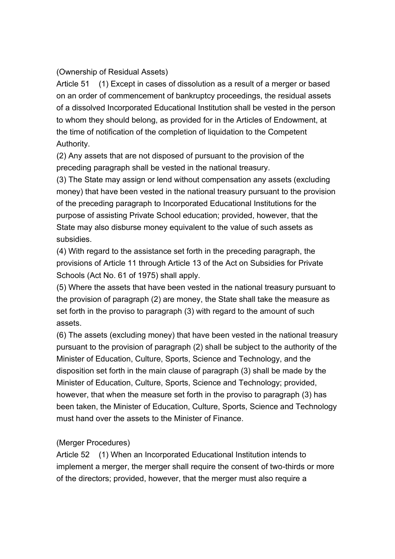# (Ownership of Residual Assets)

Article 51 (1) Except in cases of dissolution as a result of a merger or based on an order of commencement of bankruptcy proceedings, the residual assets of a dissolved Incorporated Educational Institution shall be vested in the person to whom they should belong, as provided for in the Articles of Endowment, at the time of notification of the completion of liquidation to the Competent Authority.

(2) Any assets that are not disposed of pursuant to the provision of the preceding paragraph shall be vested in the national treasury.

(3) The State may assign or lend without compensation any assets (excluding money) that have been vested in the national treasury pursuant to the provision of the preceding paragraph to Incorporated Educational Institutions for the purpose of assisting Private School education; provided, however, that the State may also disburse money equivalent to the value of such assets as subsidies.

(4) With regard to the assistance set forth in the preceding paragraph, the provisions of Article 11 through Article 13 of the Act on Subsidies for Private Schools (Act No. 61 of 1975) shall apply.

(5) Where the assets that have been vested in the national treasury pursuant to the provision of paragraph (2) are money, the State shall take the measure as set forth in the proviso to paragraph (3) with regard to the amount of such assets.

(6) The assets (excluding money) that have been vested in the national treasury pursuant to the provision of paragraph (2) shall be subject to the authority of the Minister of Education, Culture, Sports, Science and Technology, and the disposition set forth in the main clause of paragraph (3) shall be made by the Minister of Education, Culture, Sports, Science and Technology; provided, however, that when the measure set forth in the proviso to paragraph (3) has been taken, the Minister of Education, Culture, Sports, Science and Technology must hand over the assets to the Minister of Finance.

# (Merger Procedures)

Article 52 (1) When an Incorporated Educational Institution intends to implement a merger, the merger shall require the consent of two-thirds or more of the directors; provided, however, that the merger must also require a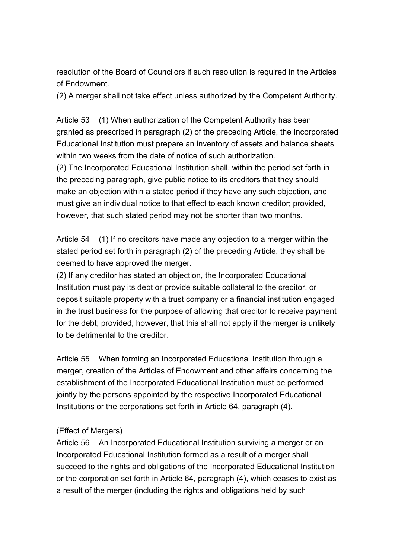resolution of the Board of Councilors if such resolution is required in the Articles of Endowment.

(2) A merger shall not take effect unless authorized by the Competent Authority.

Article 53 (1) When authorization of the Competent Authority has been granted as prescribed in paragraph (2) of the preceding Article, the Incorporated Educational Institution must prepare an inventory of assets and balance sheets within two weeks from the date of notice of such authorization.

(2) The Incorporated Educational Institution shall, within the period set forth in the preceding paragraph, give public notice to its creditors that they should make an objection within a stated period if they have any such objection, and must give an individual notice to that effect to each known creditor; provided, however, that such stated period may not be shorter than two months.

Article 54 (1) If no creditors have made any objection to a merger within the stated period set forth in paragraph (2) of the preceding Article, they shall be deemed to have approved the merger.

(2) If any creditor has stated an objection, the Incorporated Educational Institution must pay its debt or provide suitable collateral to the creditor, or deposit suitable property with a trust company or a financial institution engaged in the trust business for the purpose of allowing that creditor to receive payment for the debt; provided, however, that this shall not apply if the merger is unlikely to be detrimental to the creditor.

Article 55 When forming an Incorporated Educational Institution through a merger, creation of the Articles of Endowment and other affairs concerning the establishment of the Incorporated Educational Institution must be performed jointly by the persons appointed by the respective Incorporated Educational Institutions or the corporations set forth in Article 64, paragraph (4).

# (Effect of Mergers)

Article 56 An Incorporated Educational Institution surviving a merger or an Incorporated Educational Institution formed as a result of a merger shall succeed to the rights and obligations of the Incorporated Educational Institution or the corporation set forth in Article 64, paragraph (4), which ceases to exist as a result of the merger (including the rights and obligations held by such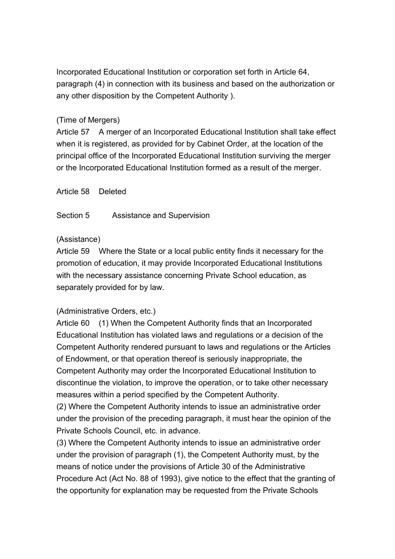Incorporated Educational Institution or corporation set forth in Article 64, paragraph (4) in connection with its business and based on the authorization or any other disposition by the Competent Authority ).

# (Time of Mergers)

Article 57 A merger of an Incorporated Educational Institution shall take effect when it is registered, as provided for by Cabinet Order, at the location of the principal office of the Incorporated Educational Institution surviving the merger or the Incorporated Educational Institution formed as a result of the merger.

Article 58 Deleted

Section 5 Assistance and Supervision

# (Assistance)

Article 59 Where the State or a local public entity finds it necessary for the promotion of education, it may provide Incorporated Educational Institutions with the necessary assistance concerning Private School education, as separately provided for by law.

# (Administrative Orders, etc.)

Article 60 (1) When the Competent Authority finds that an Incorporated Educational Institution has violated laws and regulations or a decision of the Competent Authority rendered pursuant to laws and regulations or the Articles of Endowment, or that operation thereof is seriously inappropriate, the Competent Authority may order the Incorporated Educational Institution to discontinue the violation, to improve the operation, or to take other necessary measures within a period specified by the Competent Authority.

(2) Where the Competent Authority intends to issue an administrative order under the provision of the preceding paragraph, it must hear the opinion of the Private Schools Council, etc. in advance.

(3) Where the Competent Authority intends to issue an administrative order under the provision of paragraph (1), the Competent Authority must, by the means of notice under the provisions of Article 30 of the Administrative Procedure Act (Act No. 88 of 1993), give notice to the effect that the granting of the opportunity for explanation may be requested from the Private Schools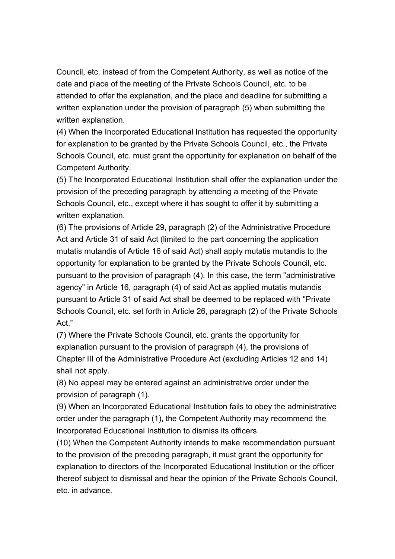Council, etc. instead of from the Competent Authority, as well as notice of the date and place of the meeting of the Private Schools Council, etc. to be attended to offer the explanation, and the place and deadline for submitting a written explanation under the provision of paragraph (5) when submitting the written explanation.

(4) When the Incorporated Educational Institution has requested the opportunity for explanation to be granted by the Private Schools Council, etc., the Private Schools Council, etc. must grant the opportunity for explanation on behalf of the Competent Authority.

(5) The Incorporated Educational Institution shall offer the explanation under the provision of the preceding paragraph by attending a meeting of the Private Schools Council, etc., except where it has sought to offer it by submitting a written explanation.

(6) The provisions of Article 29, paragraph (2) of the Administrative Procedure Act and Article 31 of said Act (limited to the part concerning the application mutatis mutandis of Article 16 of said Act) shall apply mutatis mutandis to the opportunity for explanation to be granted by the Private Schools Council, etc. pursuant to the provision of paragraph (4). In this case, the term "administrative agency" in Article 16, paragraph (4) of said Act as applied mutatis mutandis pursuant to Article 31 of said Act shall be deemed to be replaced with "Private Schools Council, etc. set forth in Article 26, paragraph (2) of the Private Schools Act."

(7) Where the Private Schools Council, etc. grants the opportunity for explanation pursuant to the provision of paragraph (4), the provisions of Chapter III of the Administrative Procedure Act (excluding Articles 12 and 14) shall not apply.

(8) No appeal may be entered against an administrative order under the provision of paragraph (1).

(9) When an Incorporated Educational Institution fails to obey the administrative order under the paragraph (1), the Competent Authority may recommend the Incorporated Educational Institution to dismiss its officers.

(10) When the Competent Authority intends to make recommendation pursuant to the provision of the preceding paragraph, it must grant the opportunity for explanation to directors of the Incorporated Educational Institution or the officer thereof subject to dismissal and hear the opinion of the Private Schools Council, etc. in advance.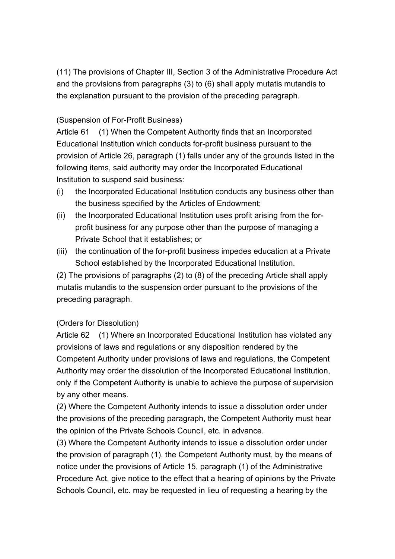(11) The provisions of Chapter III, Section 3 of the Administrative Procedure Act and the provisions from paragraphs (3) to (6) shall apply mutatis mutandis to the explanation pursuant to the provision of the preceding paragraph.

# (Suspension of For-Profit Business)

Article 61 (1) When the Competent Authority finds that an Incorporated Educational Institution which conducts for-profit business pursuant to the provision of Article 26, paragraph (1) falls under any of the grounds listed in the following items, said authority may order the Incorporated Educational Institution to suspend said business:

- (i) the Incorporated Educational Institution conducts any business other than the business specified by the Articles of Endowment;
- (ii) the Incorporated Educational Institution uses profit arising from the forprofit business for any purpose other than the purpose of managing a Private School that it establishes; or
- (iii) the continuation of the for-profit business impedes education at a Private School established by the Incorporated Educational Institution.

(2) The provisions of paragraphs (2) to (8) of the preceding Article shall apply mutatis mutandis to the suspension order pursuant to the provisions of the preceding paragraph.

# (Orders for Dissolution)

Article 62 (1) Where an Incorporated Educational Institution has violated any provisions of laws and regulations or any disposition rendered by the Competent Authority under provisions of laws and regulations, the Competent Authority may order the dissolution of the Incorporated Educational Institution, only if the Competent Authority is unable to achieve the purpose of supervision by any other means.

(2) Where the Competent Authority intends to issue a dissolution order under the provisions of the preceding paragraph, the Competent Authority must hear the opinion of the Private Schools Council, etc. in advance.

(3) Where the Competent Authority intends to issue a dissolution order under the provision of paragraph (1), the Competent Authority must, by the means of notice under the provisions of Article 15, paragraph (1) of the Administrative Procedure Act, give notice to the effect that a hearing of opinions by the Private Schools Council, etc. may be requested in lieu of requesting a hearing by the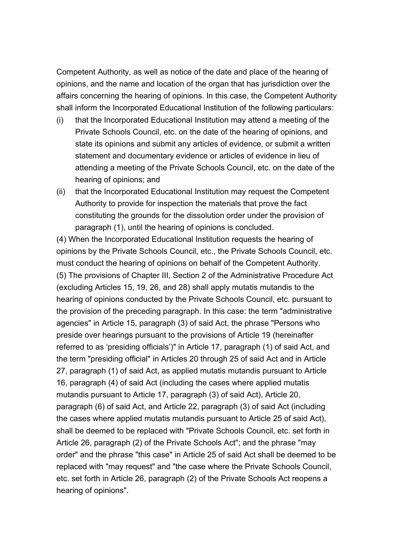Competent Authority, as well as notice of the date and place of the hearing of opinions, and the name and location of the organ that has jurisdiction over the affairs concerning the hearing of opinions. In this case, the Competent Authority shall inform the Incorporated Educational Institution of the following particulars:

- (i) that the Incorporated Educational Institution may attend a meeting of the Private Schools Council, etc. on the date of the hearing of opinions, and state its opinions and submit any articles of evidence, or submit a written statement and documentary evidence or articles of evidence in lieu of attending a meeting of the Private Schools Council, etc. on the date of the hearing of opinions; and
- (ii) that the Incorporated Educational Institution may request the Competent Authority to provide for inspection the materials that prove the fact constituting the grounds for the dissolution order under the provision of paragraph (1), until the hearing of opinions is concluded.

(4) When the Incorporated Educational Institution requests the hearing of opinions by the Private Schools Council, etc., the Private Schools Council, etc. must conduct the hearing of opinions on behalf of the Competent Authority. (5) The provisions of Chapter III, Section 2 of the Administrative Procedure Act (excluding Articles 15, 19, 26, and 28) shall apply mutatis mutandis to the hearing of opinions conducted by the Private Schools Council, etc. pursuant to the provision of the preceding paragraph. In this case: the term "administrative agencies" in Article 15, paragraph (3) of said Act, the phrase "Persons who preside over hearings pursuant to the provisions of Article 19 (hereinafter referred to as 'presiding officials')" in Article 17, paragraph (1) of said Act, and the term "presiding official" in Articles 20 through 25 of said Act and in Article 27, paragraph (1) of said Act, as applied mutatis mutandis pursuant to Article 16, paragraph (4) of said Act (including the cases where applied mutatis mutandis pursuant to Article 17, paragraph (3) of said Act), Article 20, paragraph (6) of said Act, and Article 22, paragraph (3) of said Act (including the cases where applied mutatis mutandis pursuant to Article 25 of said Act), shall be deemed to be replaced with "Private Schools Council, etc. set forth in Article 26, paragraph (2) of the Private Schools Act"; and the phrase "may order" and the phrase "this case" in Article 25 of said Act shall be deemed to be replaced with "may request" and "the case where the Private Schools Council, etc. set forth in Article 26, paragraph (2) of the Private Schools Act reopens a hearing of opinions".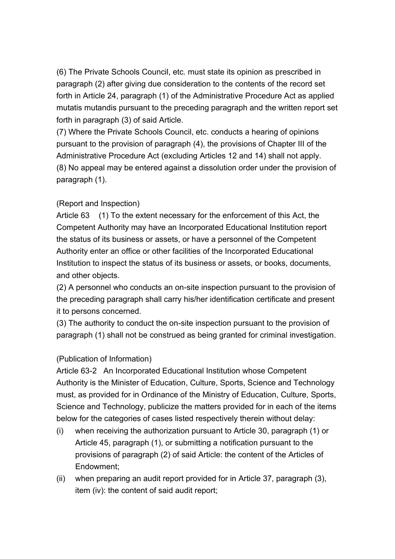(6) The Private Schools Council, etc. must state its opinion as prescribed in paragraph (2) after giving due consideration to the contents of the record set forth in Article 24, paragraph (1) of the Administrative Procedure Act as applied mutatis mutandis pursuant to the preceding paragraph and the written report set forth in paragraph (3) of said Article.

(7) Where the Private Schools Council, etc. conducts a hearing of opinions pursuant to the provision of paragraph (4), the provisions of Chapter III of the Administrative Procedure Act (excluding Articles 12 and 14) shall not apply. (8) No appeal may be entered against a dissolution order under the provision of paragraph (1).

# (Report and Inspection)

Article 63 (1) To the extent necessary for the enforcement of this Act, the Competent Authority may have an Incorporated Educational Institution report the status of its business or assets, or have a personnel of the Competent Authority enter an office or other facilities of the Incorporated Educational Institution to inspect the status of its business or assets, or books, documents, and other objects.

(2) A personnel who conducts an on-site inspection pursuant to the provision of the preceding paragraph shall carry his/her identification certificate and present it to persons concerned.

(3) The authority to conduct the on-site inspection pursuant to the provision of paragraph (1) shall not be construed as being granted for criminal investigation.

# (Publication of Information)

Article 63-2 An Incorporated Educational Institution whose Competent Authority is the Minister of Education, Culture, Sports, Science and Technology must, as provided for in Ordinance of the Ministry of Education, Culture, Sports, Science and Technology, publicize the matters provided for in each of the items below for the categories of cases listed respectively therein without delay:

- (i) when receiving the authorization pursuant to Article 30, paragraph (1) or Article 45, paragraph (1), or submitting a notification pursuant to the provisions of paragraph (2) of said Article: the content of the Articles of Endowment;
- (ii) when preparing an audit report provided for in Article 37, paragraph (3), item (iv): the content of said audit report;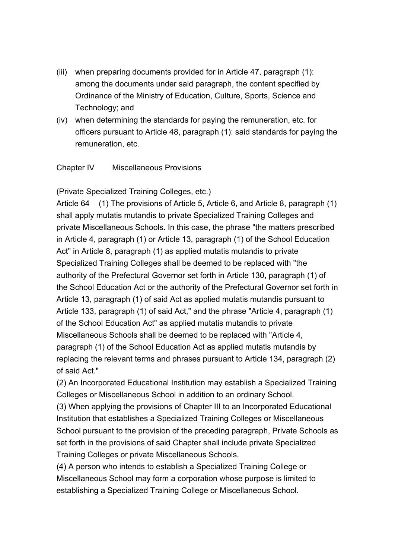- (iii) when preparing documents provided for in Article 47, paragraph (1): among the documents under said paragraph, the content specified by Ordinance of the Ministry of Education, Culture, Sports, Science and Technology; and
- (iv) when determining the standards for paying the remuneration, etc. for officers pursuant to Article 48, paragraph (1): said standards for paying the remuneration, etc.

#### Chapter IV Miscellaneous Provisions

(Private Specialized Training Colleges, etc.)

Article 64 (1) The provisions of Article 5, Article 6, and Article 8, paragraph (1) shall apply mutatis mutandis to private Specialized Training Colleges and private Miscellaneous Schools. In this case, the phrase "the matters prescribed in Article 4, paragraph (1) or Article 13, paragraph (1) of the School Education Act" in Article 8, paragraph (1) as applied mutatis mutandis to private Specialized Training Colleges shall be deemed to be replaced with "the authority of the Prefectural Governor set forth in Article 130, paragraph (1) of the School Education Act or the authority of the Prefectural Governor set forth in Article 13, paragraph (1) of said Act as applied mutatis mutandis pursuant to Article 133, paragraph (1) of said Act," and the phrase "Article 4, paragraph (1) of the School Education Act" as applied mutatis mutandis to private Miscellaneous Schools shall be deemed to be replaced with "Article 4, paragraph (1) of the School Education Act as applied mutatis mutandis by replacing the relevant terms and phrases pursuant to Article 134, paragraph (2) of said Act."

(2) An Incorporated Educational Institution may establish a Specialized Training Colleges or Miscellaneous School in addition to an ordinary School.

(3) When applying the provisions of Chapter III to an Incorporated Educational Institution that establishes a Specialized Training Colleges or Miscellaneous School pursuant to the provision of the preceding paragraph, Private Schools as set forth in the provisions of said Chapter shall include private Specialized Training Colleges or private Miscellaneous Schools.

(4) A person who intends to establish a Specialized Training College or Miscellaneous School may form a corporation whose purpose is limited to establishing a Specialized Training College or Miscellaneous School.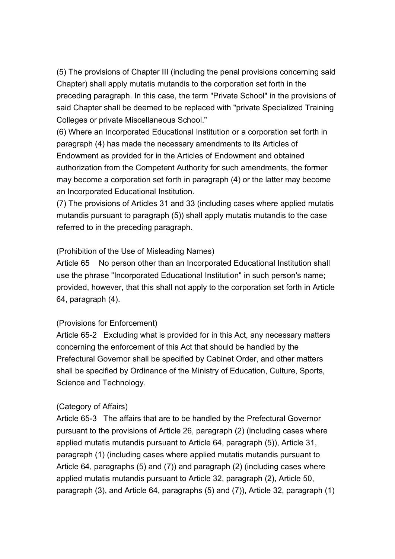(5) The provisions of Chapter III (including the penal provisions concerning said Chapter) shall apply mutatis mutandis to the corporation set forth in the preceding paragraph. In this case, the term "Private School" in the provisions of said Chapter shall be deemed to be replaced with "private Specialized Training Colleges or private Miscellaneous School."

(6) Where an Incorporated Educational Institution or a corporation set forth in paragraph (4) has made the necessary amendments to its Articles of Endowment as provided for in the Articles of Endowment and obtained authorization from the Competent Authority for such amendments, the former may become a corporation set forth in paragraph (4) or the latter may become an Incorporated Educational Institution.

(7) The provisions of Articles 31 and 33 (including cases where applied mutatis mutandis pursuant to paragraph (5)) shall apply mutatis mutandis to the case referred to in the preceding paragraph.

#### (Prohibition of the Use of Misleading Names)

Article 65 No person other than an Incorporated Educational Institution shall use the phrase "Incorporated Educational Institution" in such person's name; provided, however, that this shall not apply to the corporation set forth in Article 64, paragraph (4).

# (Provisions for Enforcement)

Article 65-2 Excluding what is provided for in this Act, any necessary matters concerning the enforcement of this Act that should be handled by the Prefectural Governor shall be specified by Cabinet Order, and other matters shall be specified by Ordinance of the Ministry of Education, Culture, Sports, Science and Technology.

#### (Category of Affairs)

Article 65-3 The affairs that are to be handled by the Prefectural Governor pursuant to the provisions of Article 26, paragraph (2) (including cases where applied mutatis mutandis pursuant to Article 64, paragraph (5)), Article 31, paragraph (1) (including cases where applied mutatis mutandis pursuant to Article 64, paragraphs (5) and (7)) and paragraph (2) (including cases where applied mutatis mutandis pursuant to Article 32, paragraph (2), Article 50, paragraph (3), and Article 64, paragraphs (5) and (7)), Article 32, paragraph (1)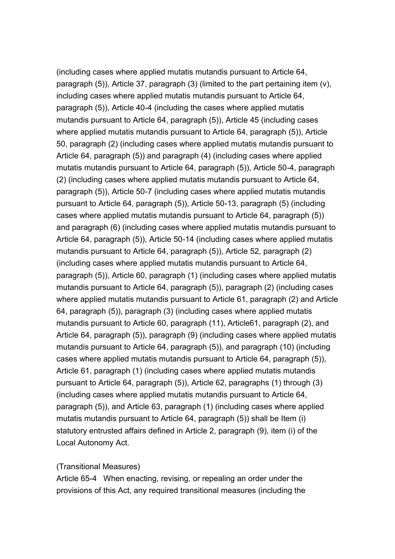(including cases where applied mutatis mutandis pursuant to Article 64, paragraph (5)), Article 37, paragraph (3) (limited to the part pertaining item (v), including cases where applied mutatis mutandis pursuant to Article 64, paragraph (5)), Article 40-4 (including the cases where applied mutatis mutandis pursuant to Article 64, paragraph (5)), Article 45 (including cases where applied mutatis mutandis pursuant to Article 64, paragraph (5)), Article 50, paragraph (2) (including cases where applied mutatis mutandis pursuant to Article 64, paragraph (5)) and paragraph (4) (including cases where applied mutatis mutandis pursuant to Article 64, paragraph (5)), Article 50-4, paragraph (2) (including cases where applied mutatis mutandis pursuant to Article 64, paragraph (5)), Article 50-7 (including cases where applied mutatis mutandis pursuant to Article 64, paragraph (5)), Article 50-13, paragraph (5) (including cases where applied mutatis mutandis pursuant to Article 64, paragraph (5)) and paragraph (6) (including cases where applied mutatis mutandis pursuant to Article 64, paragraph (5)), Article 50-14 (including cases where applied mutatis mutandis pursuant to Article 64, paragraph (5)), Article 52, paragraph (2) (including cases where applied mutatis mutandis pursuant to Article 64, paragraph (5)), Article 60, paragraph (1) (including cases where applied mutatis mutandis pursuant to Article 64, paragraph (5)), paragraph (2) (including cases where applied mutatis mutandis pursuant to Article 61, paragraph (2) and Article 64, paragraph (5)), paragraph (3) (including cases where applied mutatis mutandis pursuant to Article 60, paragraph (11), Article61, paragraph (2), and Article 64, paragraph (5)), paragraph (9) (including cases where applied mutatis mutandis pursuant to Article 64, paragraph (5)), and paragraph (10) (including cases where applied mutatis mutandis pursuant to Article 64, paragraph (5)), Article 61, paragraph (1) (including cases where applied mutatis mutandis pursuant to Article 64, paragraph (5)), Article 62, paragraphs (1) through (3) (including cases where applied mutatis mutandis pursuant to Article 64, paragraph (5)), and Article 63, paragraph (1) (including cases where applied mutatis mutandis pursuant to Article 64, paragraph (5)) shall be Item (i) statutory entrusted affairs defined in Article 2, paragraph (9), item (i) of the Local Autonomy Act.

#### (Transitional Measures)

Article 65-4 When enacting, revising, or repealing an order under the provisions of this Act, any required transitional measures (including the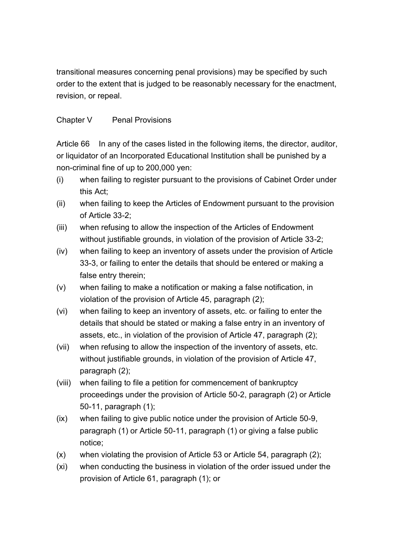transitional measures concerning penal provisions) may be specified by such order to the extent that is judged to be reasonably necessary for the enactment, revision, or repeal.

# Chapter V Penal Provisions

Article 66 In any of the cases listed in the following items, the director, auditor, or liquidator of an Incorporated Educational Institution shall be punished by a non-criminal fine of up to 200,000 yen:

- (i) when failing to register pursuant to the provisions of Cabinet Order under this Act;
- (ii) when failing to keep the Articles of Endowment pursuant to the provision of Article 33-2;
- (iii) when refusing to allow the inspection of the Articles of Endowment without justifiable grounds, in violation of the provision of Article 33-2;
- (iv) when failing to keep an inventory of assets under the provision of Article 33-3, or failing to enter the details that should be entered or making a false entry therein;
- (v) when failing to make a notification or making a false notification, in violation of the provision of Article 45, paragraph (2);
- (vi) when failing to keep an inventory of assets, etc. or failing to enter the details that should be stated or making a false entry in an inventory of assets, etc., in violation of the provision of Article 47, paragraph (2);
- (vii) when refusing to allow the inspection of the inventory of assets, etc. without justifiable grounds, in violation of the provision of Article 47, paragraph (2);
- (viii) when failing to file a petition for commencement of bankruptcy proceedings under the provision of Article 50-2, paragraph (2) or Article 50-11, paragraph (1);
- (ix) when failing to give public notice under the provision of Article 50-9, paragraph (1) or Article 50-11, paragraph (1) or giving a false public notice;
- (x) when violating the provision of Article 53 or Article 54, paragraph (2);
- (xi) when conducting the business in violation of the order issued under the provision of Article 61, paragraph (1); or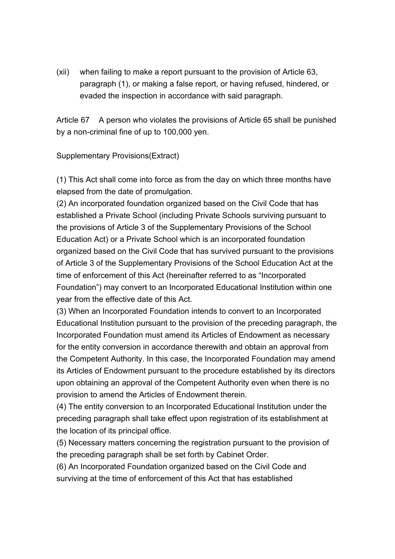(xii) when failing to make a report pursuant to the provision of Article 63, paragraph (1), or making a false report, or having refused, hindered, or evaded the inspection in accordance with said paragraph.

Article 67 A person who violates the provisions of Article 65 shall be punished by a non-criminal fine of up to 100,000 yen.

#### Supplementary Provisions(Extract)

(1) This Act shall come into force as from the day on which three months have elapsed from the date of promulgation.

(2) An incorporated foundation organized based on the Civil Code that has established a Private School (including Private Schools surviving pursuant to the provisions of Article 3 of the Supplementary Provisions of the School Education Act) or a Private School which is an incorporated foundation organized based on the Civil Code that has survived pursuant to the provisions of Article 3 of the Supplementary Provisions of the School Education Act at the time of enforcement of this Act (hereinafter referred to as "Incorporated Foundation") may convert to an Incorporated Educational Institution within one year from the effective date of this Act.

(3) When an Incorporated Foundation intends to convert to an Incorporated Educational Institution pursuant to the provision of the preceding paragraph, the Incorporated Foundation must amend its Articles of Endowment as necessary for the entity conversion in accordance therewith and obtain an approval from the Competent Authority. In this case, the Incorporated Foundation may amend its Articles of Endowment pursuant to the procedure established by its directors upon obtaining an approval of the Competent Authority even when there is no provision to amend the Articles of Endowment therein.

(4) The entity conversion to an Incorporated Educational Institution under the preceding paragraph shall take effect upon registration of its establishment at the location of its principal office.

(5) Necessary matters concerning the registration pursuant to the provision of the preceding paragraph shall be set forth by Cabinet Order.

(6) An Incorporated Foundation organized based on the Civil Code and surviving at the time of enforcement of this Act that has established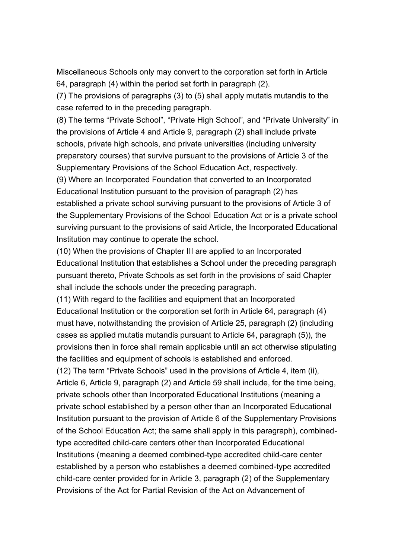Miscellaneous Schools only may convert to the corporation set forth in Article 64, paragraph (4) within the period set forth in paragraph (2).

(7) The provisions of paragraphs (3) to (5) shall apply mutatis mutandis to the case referred to in the preceding paragraph.

(8) The terms "Private School", "Private High School", and "Private University" in the provisions of Article 4 and Article 9, paragraph (2) shall include private schools, private high schools, and private universities (including university preparatory courses) that survive pursuant to the provisions of Article 3 of the Supplementary Provisions of the School Education Act, respectively.

(9) Where an Incorporated Foundation that converted to an Incorporated Educational Institution pursuant to the provision of paragraph (2) has established a private school surviving pursuant to the provisions of Article 3 of the Supplementary Provisions of the School Education Act or is a private school surviving pursuant to the provisions of said Article, the Incorporated Educational Institution may continue to operate the school.

(10) When the provisions of Chapter III are applied to an Incorporated Educational Institution that establishes a School under the preceding paragraph pursuant thereto, Private Schools as set forth in the provisions of said Chapter shall include the schools under the preceding paragraph.

(11) With regard to the facilities and equipment that an Incorporated Educational Institution or the corporation set forth in Article 64, paragraph (4) must have, notwithstanding the provision of Article 25, paragraph (2) (including cases as applied mutatis mutandis pursuant to Article 64, paragraph (5)), the provisions then in force shall remain applicable until an act otherwise stipulating the facilities and equipment of schools is established and enforced.

(12) The term "Private Schools" used in the provisions of Article 4, item (ii), Article 6, Article 9, paragraph (2) and Article 59 shall include, for the time being, private schools other than Incorporated Educational Institutions (meaning a private school established by a person other than an Incorporated Educational Institution pursuant to the provision of Article 6 of the Supplementary Provisions of the School Education Act; the same shall apply in this paragraph), combinedtype accredited child-care centers other than Incorporated Educational Institutions (meaning a deemed combined-type accredited child-care center established by a person who establishes a deemed combined-type accredited child-care center provided for in Article 3, paragraph (2) of the Supplementary Provisions of the Act for Partial Revision of the Act on Advancement of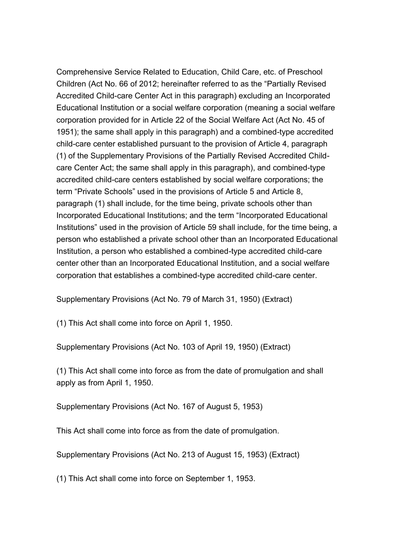Comprehensive Service Related to Education, Child Care, etc. of Preschool Children (Act No. 66 of 2012; hereinafter referred to as the "Partially Revised Accredited Child-care Center Act in this paragraph) excluding an Incorporated Educational Institution or a social welfare corporation (meaning a social welfare corporation provided for in Article 22 of the Social Welfare Act (Act No. 45 of 1951); the same shall apply in this paragraph) and a combined-type accredited child-care center established pursuant to the provision of Article 4, paragraph (1) of the Supplementary Provisions of the Partially Revised Accredited Childcare Center Act; the same shall apply in this paragraph), and combined-type accredited child-care centers established by social welfare corporations; the term "Private Schools" used in the provisions of Article 5 and Article 8, paragraph (1) shall include, for the time being, private schools other than Incorporated Educational Institutions; and the term "Incorporated Educational Institutions" used in the provision of Article 59 shall include, for the time being, a person who established a private school other than an Incorporated Educational Institution, a person who established a combined-type accredited child-care center other than an Incorporated Educational Institution, and a social welfare corporation that establishes a combined-type accredited child-care center.

Supplementary Provisions (Act No. 79 of March 31, 1950) (Extract)

(1) This Act shall come into force on April 1, 1950.

Supplementary Provisions (Act No. 103 of April 19, 1950) (Extract)

(1) This Act shall come into force as from the date of promulgation and shall apply as from April 1, 1950.

Supplementary Provisions (Act No. 167 of August 5, 1953)

This Act shall come into force as from the date of promulgation.

Supplementary Provisions (Act No. 213 of August 15, 1953) (Extract)

(1) This Act shall come into force on September 1, 1953.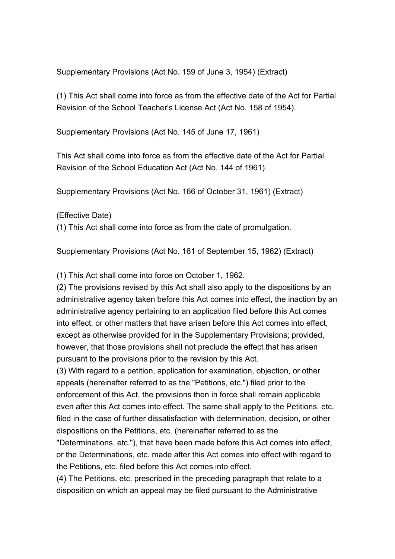Supplementary Provisions (Act No. 159 of June 3, 1954) (Extract)

(1) This Act shall come into force as from the effective date of the Act for Partial Revision of the School Teacher's License Act (Act No. 158 of 1954).

Supplementary Provisions (Act No. 145 of June 17, 1961)

This Act shall come into force as from the effective date of the Act for Partial Revision of the School Education Act (Act No. 144 of 1961).

Supplementary Provisions (Act No. 166 of October 31, 1961) (Extract)

(Effective Date)

(1) This Act shall come into force as from the date of promulgation.

Supplementary Provisions (Act No. 161 of September 15, 1962) (Extract)

(1) This Act shall come into force on October 1, 1962.

(2) The provisions revised by this Act shall also apply to the dispositions by an administrative agency taken before this Act comes into effect, the inaction by an administrative agency pertaining to an application filed before this Act comes into effect, or other matters that have arisen before this Act comes into effect, except as otherwise provided for in the Supplementary Provisions; provided, however, that those provisions shall not preclude the effect that has arisen pursuant to the provisions prior to the revision by this Act.

(3) With regard to a petition, application for examination, objection, or other appeals (hereinafter referred to as the "Petitions, etc.") filed prior to the enforcement of this Act, the provisions then in force shall remain applicable even after this Act comes into effect. The same shall apply to the Petitions, etc. filed in the case of further dissatisfaction with determination, decision, or other dispositions on the Petitions, etc. (hereinafter referred to as the

"Determinations, etc."), that have been made before this Act comes into effect, or the Determinations, etc. made after this Act comes into effect with regard to the Petitions, etc. filed before this Act comes into effect.

(4) The Petitions, etc. prescribed in the preceding paragraph that relate to a disposition on which an appeal may be filed pursuant to the Administrative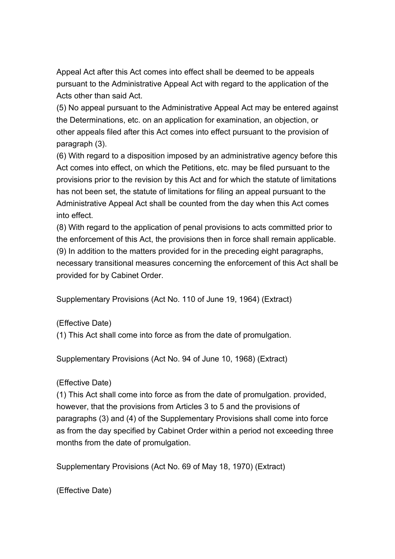Appeal Act after this Act comes into effect shall be deemed to be appeals pursuant to the Administrative Appeal Act with regard to the application of the Acts other than said Act.

(5) No appeal pursuant to the Administrative Appeal Act may be entered against the Determinations, etc. on an application for examination, an objection, or other appeals filed after this Act comes into effect pursuant to the provision of paragraph (3).

(6) With regard to a disposition imposed by an administrative agency before this Act comes into effect, on which the Petitions, etc. may be filed pursuant to the provisions prior to the revision by this Act and for which the statute of limitations has not been set, the statute of limitations for filing an appeal pursuant to the Administrative Appeal Act shall be counted from the day when this Act comes into effect.

(8) With regard to the application of penal provisions to acts committed prior to the enforcement of this Act, the provisions then in force shall remain applicable. (9) In addition to the matters provided for in the preceding eight paragraphs, necessary transitional measures concerning the enforcement of this Act shall be

Supplementary Provisions (Act No. 110 of June 19, 1964) (Extract)

(Effective Date)

provided for by Cabinet Order.

(1) This Act shall come into force as from the date of promulgation.

Supplementary Provisions (Act No. 94 of June 10, 1968) (Extract)

(Effective Date)

(1) This Act shall come into force as from the date of promulgation. provided, however, that the provisions from Articles 3 to 5 and the provisions of paragraphs (3) and (4) of the Supplementary Provisions shall come into force as from the day specified by Cabinet Order within a period not exceeding three months from the date of promulgation.

Supplementary Provisions (Act No. 69 of May 18, 1970) (Extract)

(Effective Date)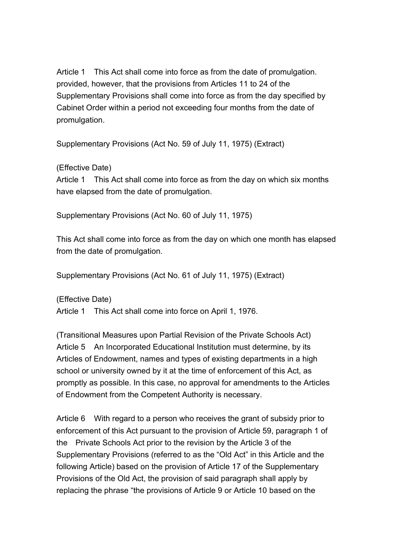Article 1 This Act shall come into force as from the date of promulgation. provided, however, that the provisions from Articles 11 to 24 of the Supplementary Provisions shall come into force as from the day specified by Cabinet Order within a period not exceeding four months from the date of promulgation.

Supplementary Provisions (Act No. 59 of July 11, 1975) (Extract)

(Effective Date)

Article 1 This Act shall come into force as from the day on which six months have elapsed from the date of promulgation.

Supplementary Provisions (Act No. 60 of July 11, 1975)

This Act shall come into force as from the day on which one month has elapsed from the date of promulgation.

Supplementary Provisions (Act No. 61 of July 11, 1975) (Extract)

(Effective Date) Article 1 This Act shall come into force on April 1, 1976.

(Transitional Measures upon Partial Revision of the Private Schools Act) Article 5 An Incorporated Educational Institution must determine, by its Articles of Endowment, names and types of existing departments in a high school or university owned by it at the time of enforcement of this Act, as promptly as possible. In this case, no approval for amendments to the Articles of Endowment from the Competent Authority is necessary.

Article 6 With regard to a person who receives the grant of subsidy prior to enforcement of this Act pursuant to the provision of Article 59, paragraph 1 of the Private Schools Act prior to the revision by the Article 3 of the Supplementary Provisions (referred to as the "Old Act" in this Article and the following Article) based on the provision of Article 17 of the Supplementary Provisions of the Old Act, the provision of said paragraph shall apply by replacing the phrase "the provisions of Article 9 or Article 10 based on the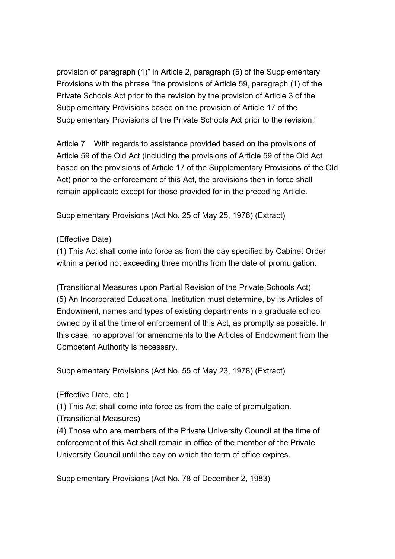provision of paragraph (1)" in Article 2, paragraph (5) of the Supplementary Provisions with the phrase "the provisions of Article 59, paragraph (1) of the Private Schools Act prior to the revision by the provision of Article 3 of the Supplementary Provisions based on the provision of Article 17 of the Supplementary Provisions of the Private Schools Act prior to the revision."

Article 7 With regards to assistance provided based on the provisions of Article 59 of the Old Act (including the provisions of Article 59 of the Old Act based on the provisions of Article 17 of the Supplementary Provisions of the Old Act) prior to the enforcement of this Act, the provisions then in force shall remain applicable except for those provided for in the preceding Article.

Supplementary Provisions (Act No. 25 of May 25, 1976) (Extract)

# (Effective Date)

(1) This Act shall come into force as from the day specified by Cabinet Order within a period not exceeding three months from the date of promulgation.

(Transitional Measures upon Partial Revision of the Private Schools Act) (5) An Incorporated Educational Institution must determine, by its Articles of Endowment, names and types of existing departments in a graduate school owned by it at the time of enforcement of this Act, as promptly as possible. In this case, no approval for amendments to the Articles of Endowment from the Competent Authority is necessary.

Supplementary Provisions (Act No. 55 of May 23, 1978) (Extract)

(Effective Date, etc.)

(1) This Act shall come into force as from the date of promulgation.

(Transitional Measures)

(4) Those who are members of the Private University Council at the time of enforcement of this Act shall remain in office of the member of the Private University Council until the day on which the term of office expires.

Supplementary Provisions (Act No. 78 of December 2, 1983)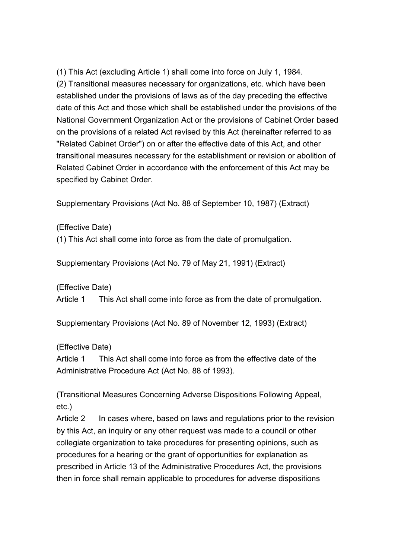(1) This Act (excluding Article 1) shall come into force on July 1, 1984. (2) Transitional measures necessary for organizations, etc. which have been established under the provisions of laws as of the day preceding the effective date of this Act and those which shall be established under the provisions of the National Government Organization Act or the provisions of Cabinet Order based on the provisions of a related Act revised by this Act (hereinafter referred to as "Related Cabinet Order") on or after the effective date of this Act, and other transitional measures necessary for the establishment or revision or abolition of Related Cabinet Order in accordance with the enforcement of this Act may be specified by Cabinet Order.

Supplementary Provisions (Act No. 88 of September 10, 1987) (Extract)

(Effective Date)

(1) This Act shall come into force as from the date of promulgation.

Supplementary Provisions (Act No. 79 of May 21, 1991) (Extract)

(Effective Date)

Article 1 This Act shall come into force as from the date of promulgation.

Supplementary Provisions (Act No. 89 of November 12, 1993) (Extract)

(Effective Date)

Article 1 This Act shall come into force as from the effective date of the Administrative Procedure Act (Act No. 88 of 1993).

(Transitional Measures Concerning Adverse Dispositions Following Appeal, etc.)

Article 2 In cases where, based on laws and regulations prior to the revision by this Act, an inquiry or any other request was made to a council or other collegiate organization to take procedures for presenting opinions, such as procedures for a hearing or the grant of opportunities for explanation as prescribed in Article 13 of the Administrative Procedures Act, the provisions then in force shall remain applicable to procedures for adverse dispositions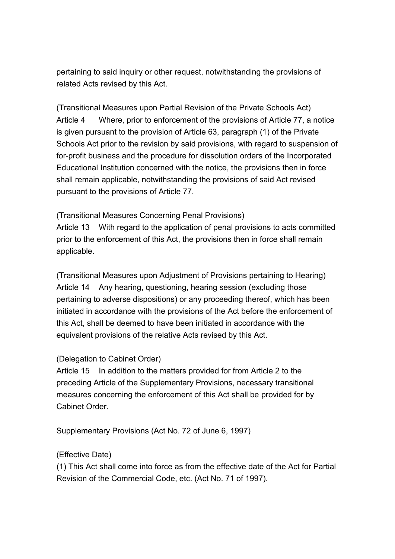pertaining to said inquiry or other request, notwithstanding the provisions of related Acts revised by this Act.

(Transitional Measures upon Partial Revision of the Private Schools Act) Article 4 Where, prior to enforcement of the provisions of Article 77, a notice is given pursuant to the provision of Article 63, paragraph (1) of the Private Schools Act prior to the revision by said provisions, with regard to suspension of for-profit business and the procedure for dissolution orders of the Incorporated Educational Institution concerned with the notice, the provisions then in force shall remain applicable, notwithstanding the provisions of said Act revised pursuant to the provisions of Article 77.

#### (Transitional Measures Concerning Penal Provisions)

Article 13 With regard to the application of penal provisions to acts committed prior to the enforcement of this Act, the provisions then in force shall remain applicable.

(Transitional Measures upon Adjustment of Provisions pertaining to Hearing) Article 14 Any hearing, questioning, hearing session (excluding those pertaining to adverse dispositions) or any proceeding thereof, which has been initiated in accordance with the provisions of the Act before the enforcement of this Act, shall be deemed to have been initiated in accordance with the equivalent provisions of the relative Acts revised by this Act.

#### (Delegation to Cabinet Order)

Article 15 In addition to the matters provided for from Article 2 to the preceding Article of the Supplementary Provisions, necessary transitional measures concerning the enforcement of this Act shall be provided for by Cabinet Order.

Supplementary Provisions (Act No. 72 of June 6, 1997)

# (Effective Date)

(1) This Act shall come into force as from the effective date of the Act for Partial Revision of the Commercial Code, etc. (Act No. 71 of 1997).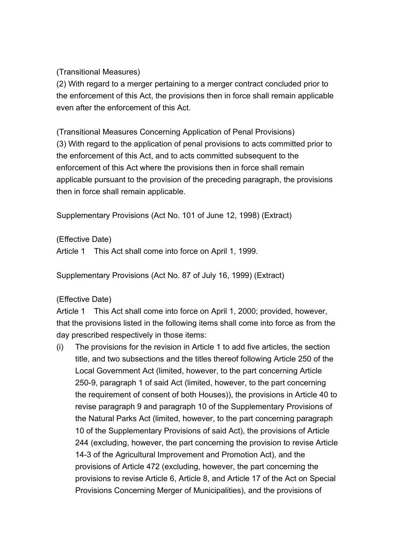(Transitional Measures)

(2) With regard to a merger pertaining to a merger contract concluded prior to the enforcement of this Act, the provisions then in force shall remain applicable even after the enforcement of this Act.

(Transitional Measures Concerning Application of Penal Provisions) (3) With regard to the application of penal provisions to acts committed prior to the enforcement of this Act, and to acts committed subsequent to the enforcement of this Act where the provisions then in force shall remain applicable pursuant to the provision of the preceding paragraph, the provisions then in force shall remain applicable.

Supplementary Provisions (Act No. 101 of June 12, 1998) (Extract)

(Effective Date)

Article 1 This Act shall come into force on April 1, 1999.

Supplementary Provisions (Act No. 87 of July 16, 1999) (Extract)

# (Effective Date)

Article 1 This Act shall come into force on April 1, 2000; provided, however, that the provisions listed in the following items shall come into force as from the day prescribed respectively in those items:

(i) The provisions for the revision in Article 1 to add five articles, the section title, and two subsections and the titles thereof following Article 250 of the Local Government Act (limited, however, to the part concerning Article 250-9, paragraph 1 of said Act (limited, however, to the part concerning the requirement of consent of both Houses)), the provisions in Article 40 to revise paragraph 9 and paragraph 10 of the Supplementary Provisions of the Natural Parks Act (limited, however, to the part concerning paragraph 10 of the Supplementary Provisions of said Act), the provisions of Article 244 (excluding, however, the part concerning the provision to revise Article 14-3 of the Agricultural Improvement and Promotion Act), and the provisions of Article 472 (excluding, however, the part concerning the provisions to revise Article 6, Article 8, and Article 17 of the Act on Special Provisions Concerning Merger of Municipalities), and the provisions of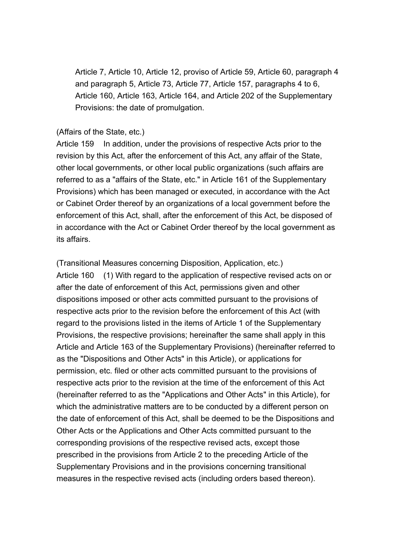Article 7, Article 10, Article 12, proviso of Article 59, Article 60, paragraph 4 and paragraph 5, Article 73, Article 77, Article 157, paragraphs 4 to 6, Article 160, Article 163, Article 164, and Article 202 of the Supplementary Provisions: the date of promulgation.

#### (Affairs of the State, etc.)

Article 159 In addition, under the provisions of respective Acts prior to the revision by this Act, after the enforcement of this Act, any affair of the State, other local governments, or other local public organizations (such affairs are referred to as a "affairs of the State, etc." in Article 161 of the Supplementary Provisions) which has been managed or executed, in accordance with the Act or Cabinet Order thereof by an organizations of a local government before the enforcement of this Act, shall, after the enforcement of this Act, be disposed of in accordance with the Act or Cabinet Order thereof by the local government as its affairs.

(Transitional Measures concerning Disposition, Application, etc.) Article 160 (1) With regard to the application of respective revised acts on or after the date of enforcement of this Act, permissions given and other dispositions imposed or other acts committed pursuant to the provisions of respective acts prior to the revision before the enforcement of this Act (with regard to the provisions listed in the items of Article 1 of the Supplementary Provisions, the respective provisions; hereinafter the same shall apply in this Article and Article 163 of the Supplementary Provisions) (hereinafter referred to as the "Dispositions and Other Acts" in this Article), or applications for permission, etc. filed or other acts committed pursuant to the provisions of respective acts prior to the revision at the time of the enforcement of this Act (hereinafter referred to as the "Applications and Other Acts" in this Article), for which the administrative matters are to be conducted by a different person on the date of enforcement of this Act, shall be deemed to be the Dispositions and Other Acts or the Applications and Other Acts committed pursuant to the corresponding provisions of the respective revised acts, except those prescribed in the provisions from Article 2 to the preceding Article of the Supplementary Provisions and in the provisions concerning transitional measures in the respective revised acts (including orders based thereon).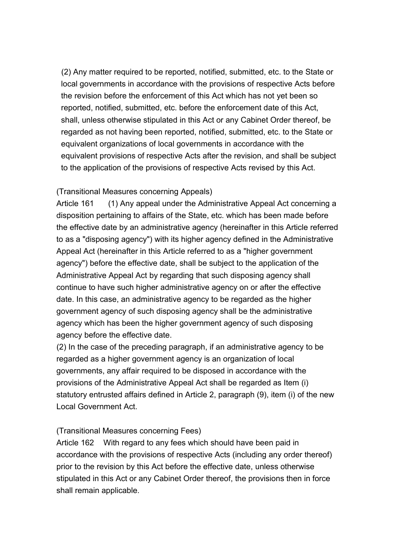(2) Any matter required to be reported, notified, submitted, etc. to the State or local governments in accordance with the provisions of respective Acts before the revision before the enforcement of this Act which has not yet been so reported, notified, submitted, etc. before the enforcement date of this Act, shall, unless otherwise stipulated in this Act or any Cabinet Order thereof, be regarded as not having been reported, notified, submitted, etc. to the State or equivalent organizations of local governments in accordance with the equivalent provisions of respective Acts after the revision, and shall be subject to the application of the provisions of respective Acts revised by this Act.

#### (Transitional Measures concerning Appeals)

Article 161 (1) Any appeal under the Administrative Appeal Act concerning a disposition pertaining to affairs of the State, etc. which has been made before the effective date by an administrative agency (hereinafter in this Article referred to as a "disposing agency") with its higher agency defined in the Administrative Appeal Act (hereinafter in this Article referred to as a "higher government agency") before the effective date, shall be subject to the application of the Administrative Appeal Act by regarding that such disposing agency shall continue to have such higher administrative agency on or after the effective date. In this case, an administrative agency to be regarded as the higher government agency of such disposing agency shall be the administrative agency which has been the higher government agency of such disposing agency before the effective date.

(2) In the case of the preceding paragraph, if an administrative agency to be regarded as a higher government agency is an organization of local governments, any affair required to be disposed in accordance with the provisions of the Administrative Appeal Act shall be regarded as Item (i) statutory entrusted affairs defined in Article 2, paragraph (9), item (i) of the new Local Government Act.

# (Transitional Measures concerning Fees)

Article 162 With regard to any fees which should have been paid in accordance with the provisions of respective Acts (including any order thereof) prior to the revision by this Act before the effective date, unless otherwise stipulated in this Act or any Cabinet Order thereof, the provisions then in force shall remain applicable.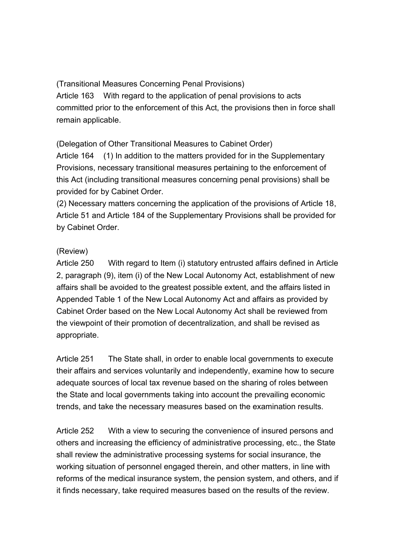(Transitional Measures Concerning Penal Provisions) Article 163 With regard to the application of penal provisions to acts committed prior to the enforcement of this Act, the provisions then in force shall remain applicable.

(Delegation of Other Transitional Measures to Cabinet Order)

Article 164 (1) In addition to the matters provided for in the Supplementary Provisions, necessary transitional measures pertaining to the enforcement of this Act (including transitional measures concerning penal provisions) shall be provided for by Cabinet Order.

(2) Necessary matters concerning the application of the provisions of Article 18, Article 51 and Article 184 of the Supplementary Provisions shall be provided for by Cabinet Order.

# (Review)

Article 250 With regard to Item (i) statutory entrusted affairs defined in Article 2, paragraph (9), item (i) of the New Local Autonomy Act, establishment of new affairs shall be avoided to the greatest possible extent, and the affairs listed in Appended Table 1 of the New Local Autonomy Act and affairs as provided by Cabinet Order based on the New Local Autonomy Act shall be reviewed from the viewpoint of their promotion of decentralization, and shall be revised as appropriate.

Article 251 The State shall, in order to enable local governments to execute their affairs and services voluntarily and independently, examine how to secure adequate sources of local tax revenue based on the sharing of roles between the State and local governments taking into account the prevailing economic trends, and take the necessary measures based on the examination results.

Article 252 With a view to securing the convenience of insured persons and others and increasing the efficiency of administrative processing, etc., the State shall review the administrative processing systems for social insurance, the working situation of personnel engaged therein, and other matters, in line with reforms of the medical insurance system, the pension system, and others, and if it finds necessary, take required measures based on the results of the review.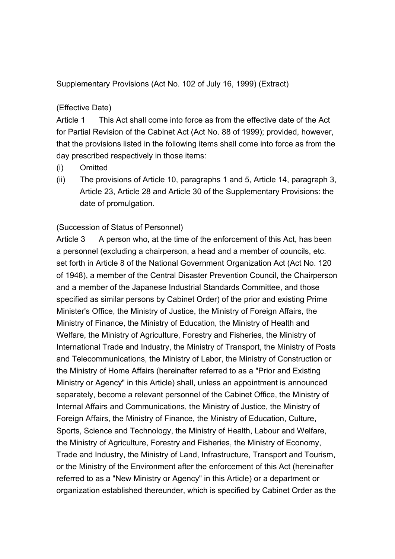Supplementary Provisions (Act No. 102 of July 16, 1999) (Extract)

### (Effective Date)

Article 1 This Act shall come into force as from the effective date of the Act for Partial Revision of the Cabinet Act (Act No. 88 of 1999); provided, however, that the provisions listed in the following items shall come into force as from the day prescribed respectively in those items:

- (i) Omitted
- (ii) The provisions of Article 10, paragraphs 1 and 5, Article 14, paragraph 3, Article 23, Article 28 and Article 30 of the Supplementary Provisions: the date of promulgation.

#### (Succession of Status of Personnel)

Article 3 A person who, at the time of the enforcement of this Act, has been a personnel (excluding a chairperson, a head and a member of councils, etc. set forth in Article 8 of the National Government Organization Act (Act No. 120 of 1948), a member of the Central Disaster Prevention Council, the Chairperson and a member of the Japanese Industrial Standards Committee, and those specified as similar persons by Cabinet Order) of the prior and existing Prime Minister's Office, the Ministry of Justice, the Ministry of Foreign Affairs, the Ministry of Finance, the Ministry of Education, the Ministry of Health and Welfare, the Ministry of Agriculture, Forestry and Fisheries, the Ministry of International Trade and Industry, the Ministry of Transport, the Ministry of Posts and Telecommunications, the Ministry of Labor, the Ministry of Construction or the Ministry of Home Affairs (hereinafter referred to as a "Prior and Existing Ministry or Agency" in this Article) shall, unless an appointment is announced separately, become a relevant personnel of the Cabinet Office, the Ministry of Internal Affairs and Communications, the Ministry of Justice, the Ministry of Foreign Affairs, the Ministry of Finance, the Ministry of Education, Culture, Sports, Science and Technology, the Ministry of Health, Labour and Welfare, the Ministry of Agriculture, Forestry and Fisheries, the Ministry of Economy, Trade and Industry, the Ministry of Land, Infrastructure, Transport and Tourism, or the Ministry of the Environment after the enforcement of this Act (hereinafter referred to as a "New Ministry or Agency" in this Article) or a department or organization established thereunder, which is specified by Cabinet Order as the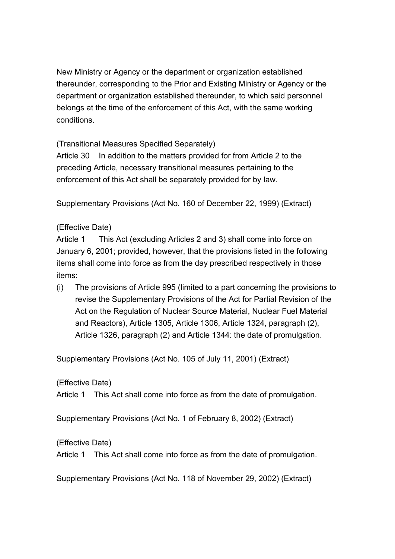New Ministry or Agency or the department or organization established thereunder, corresponding to the Prior and Existing Ministry or Agency or the department or organization established thereunder, to which said personnel belongs at the time of the enforcement of this Act, with the same working conditions.

(Transitional Measures Specified Separately)

Article 30 In addition to the matters provided for from Article 2 to the preceding Article, necessary transitional measures pertaining to the enforcement of this Act shall be separately provided for by law.

Supplementary Provisions (Act No. 160 of December 22, 1999) (Extract)

# (Effective Date)

Article 1 This Act (excluding Articles 2 and 3) shall come into force on January 6, 2001; provided, however, that the provisions listed in the following items shall come into force as from the day prescribed respectively in those items:

(i) The provisions of Article 995 (limited to a part concerning the provisions to revise the Supplementary Provisions of the Act for Partial Revision of the Act on the Regulation of Nuclear Source Material, Nuclear Fuel Material and Reactors), Article 1305, Article 1306, Article 1324, paragraph (2), Article 1326, paragraph (2) and Article 1344: the date of promulgation.

Supplementary Provisions (Act No. 105 of July 11, 2001) (Extract)

(Effective Date)

Article 1 This Act shall come into force as from the date of promulgation.

Supplementary Provisions (Act No. 1 of February 8, 2002) (Extract)

(Effective Date)

Article 1 This Act shall come into force as from the date of promulgation.

Supplementary Provisions (Act No. 118 of November 29, 2002) (Extract)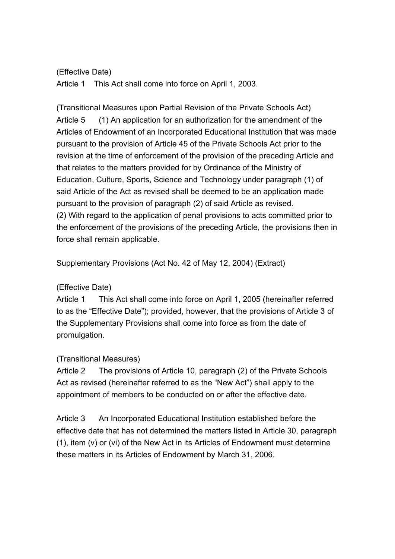### (Effective Date)

Article 1 This Act shall come into force on April 1, 2003.

(Transitional Measures upon Partial Revision of the Private Schools Act) Article 5 (1) An application for an authorization for the amendment of the Articles of Endowment of an Incorporated Educational Institution that was made pursuant to the provision of Article 45 of the Private Schools Act prior to the revision at the time of enforcement of the provision of the preceding Article and that relates to the matters provided for by Ordinance of the Ministry of Education, Culture, Sports, Science and Technology under paragraph (1) of said Article of the Act as revised shall be deemed to be an application made pursuant to the provision of paragraph (2) of said Article as revised. (2) With regard to the application of penal provisions to acts committed prior to the enforcement of the provisions of the preceding Article, the provisions then in force shall remain applicable.

Supplementary Provisions (Act No. 42 of May 12, 2004) (Extract)

# (Effective Date)

Article 1 This Act shall come into force on April 1, 2005 (hereinafter referred to as the "Effective Date"); provided, however, that the provisions of Article 3 of the Supplementary Provisions shall come into force as from the date of promulgation.

# (Transitional Measures)

Article 2 The provisions of Article 10, paragraph (2) of the Private Schools Act as revised (hereinafter referred to as the "New Act") shall apply to the appointment of members to be conducted on or after the effective date.

Article 3 An Incorporated Educational Institution established before the effective date that has not determined the matters listed in Article 30, paragraph (1), item (v) or (vi) of the New Act in its Articles of Endowment must determine these matters in its Articles of Endowment by March 31, 2006.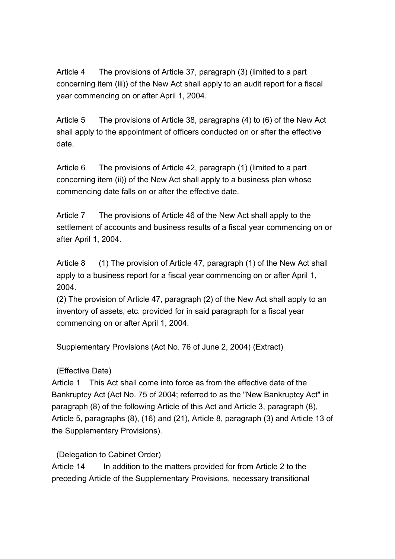Article 4 The provisions of Article 37, paragraph (3) (limited to a part concerning item (iii)) of the New Act shall apply to an audit report for a fiscal year commencing on or after April 1, 2004.

Article 5 The provisions of Article 38, paragraphs (4) to (6) of the New Act shall apply to the appointment of officers conducted on or after the effective date.

Article 6 The provisions of Article 42, paragraph (1) (limited to a part concerning item (ii)) of the New Act shall apply to a business plan whose commencing date falls on or after the effective date.

Article 7 The provisions of Article 46 of the New Act shall apply to the settlement of accounts and business results of a fiscal year commencing on or after April 1, 2004.

Article 8 (1) The provision of Article 47, paragraph (1) of the New Act shall apply to a business report for a fiscal year commencing on or after April 1, 2004.

(2) The provision of Article 47, paragraph (2) of the New Act shall apply to an inventory of assets, etc. provided for in said paragraph for a fiscal year commencing on or after April 1, 2004.

Supplementary Provisions (Act No. 76 of June 2, 2004) (Extract)

# (Effective Date)

Article 1 This Act shall come into force as from the effective date of the Bankruptcy Act (Act No. 75 of 2004; referred to as the "New Bankruptcy Act" in paragraph (8) of the following Article of this Act and Article 3, paragraph (8), Article 5, paragraphs (8), (16) and (21), Article 8, paragraph (3) and Article 13 of the Supplementary Provisions).

# (Delegation to Cabinet Order)

Article 14 In addition to the matters provided for from Article 2 to the preceding Article of the Supplementary Provisions, necessary transitional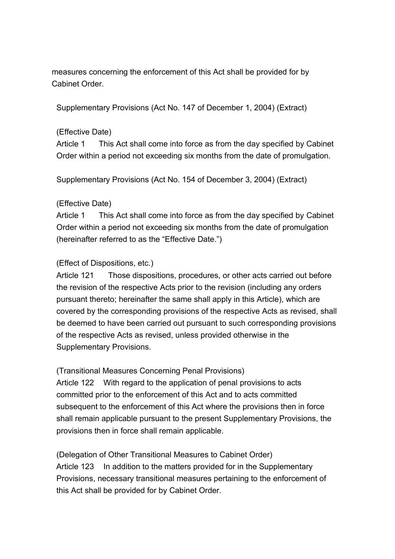measures concerning the enforcement of this Act shall be provided for by Cabinet Order.

Supplementary Provisions (Act No. 147 of December 1, 2004) (Extract)

#### (Effective Date)

Article 1 This Act shall come into force as from the day specified by Cabinet Order within a period not exceeding six months from the date of promulgation.

Supplementary Provisions (Act No. 154 of December 3, 2004) (Extract)

#### (Effective Date)

Article 1 This Act shall come into force as from the day specified by Cabinet Order within a period not exceeding six months from the date of promulgation (hereinafter referred to as the "Effective Date.")

# (Effect of Dispositions, etc.)

Article 121 Those dispositions, procedures, or other acts carried out before the revision of the respective Acts prior to the revision (including any orders pursuant thereto; hereinafter the same shall apply in this Article), which are covered by the corresponding provisions of the respective Acts as revised, shall be deemed to have been carried out pursuant to such corresponding provisions of the respective Acts as revised, unless provided otherwise in the Supplementary Provisions.

(Transitional Measures Concerning Penal Provisions)

Article 122 With regard to the application of penal provisions to acts committed prior to the enforcement of this Act and to acts committed subsequent to the enforcement of this Act where the provisions then in force shall remain applicable pursuant to the present Supplementary Provisions, the provisions then in force shall remain applicable.

(Delegation of Other Transitional Measures to Cabinet Order) Article 123 In addition to the matters provided for in the Supplementary Provisions, necessary transitional measures pertaining to the enforcement of this Act shall be provided for by Cabinet Order.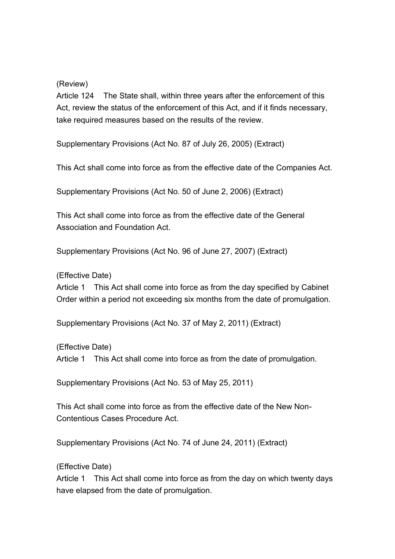(Review)

Article 124 The State shall, within three years after the enforcement of this Act, review the status of the enforcement of this Act, and if it finds necessary, take required measures based on the results of the review.

Supplementary Provisions (Act No. 87 of July 26, 2005) (Extract)

This Act shall come into force as from the effective date of the Companies Act.

Supplementary Provisions (Act No. 50 of June 2, 2006) (Extract)

This Act shall come into force as from the effective date of the General Association and Foundation Act.

Supplementary Provisions (Act No. 96 of June 27, 2007) (Extract)

(Effective Date)

Article 1 This Act shall come into force as from the day specified by Cabinet Order within a period not exceeding six months from the date of promulgation.

Supplementary Provisions (Act No. 37 of May 2, 2011) (Extract)

(Effective Date) Article 1 This Act shall come into force as from the date of promulgation.

Supplementary Provisions (Act No. 53 of May 25, 2011)

This Act shall come into force as from the effective date of the New Non-Contentious Cases Procedure Act.

Supplementary Provisions (Act No. 74 of June 24, 2011) (Extract)

(Effective Date)

Article 1 This Act shall come into force as from the day on which twenty days have elapsed from the date of promulgation.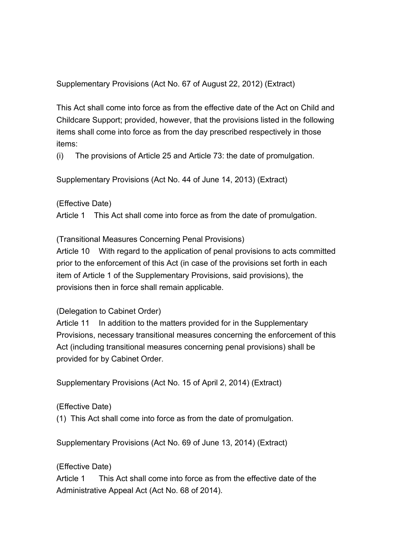Supplementary Provisions (Act No. 67 of August 22, 2012) (Extract)

This Act shall come into force as from the effective date of the Act on Child and Childcare Support; provided, however, that the provisions listed in the following items shall come into force as from the day prescribed respectively in those items:

(i) The provisions of Article 25 and Article 73: the date of promulgation.

Supplementary Provisions (Act No. 44 of June 14, 2013) (Extract)

(Effective Date)

Article 1 This Act shall come into force as from the date of promulgation.

(Transitional Measures Concerning Penal Provisions)

Article 10 With regard to the application of penal provisions to acts committed prior to the enforcement of this Act (in case of the provisions set forth in each item of Article 1 of the Supplementary Provisions, said provisions), the provisions then in force shall remain applicable.

(Delegation to Cabinet Order)

Article 11 In addition to the matters provided for in the Supplementary Provisions, necessary transitional measures concerning the enforcement of this Act (including transitional measures concerning penal provisions) shall be provided for by Cabinet Order.

Supplementary Provisions (Act No. 15 of April 2, 2014) (Extract)

(Effective Date)

(1) This Act shall come into force as from the date of promulgation.

Supplementary Provisions (Act No. 69 of June 13, 2014) (Extract)

(Effective Date)

Article 1 This Act shall come into force as from the effective date of the Administrative Appeal Act (Act No. 68 of 2014).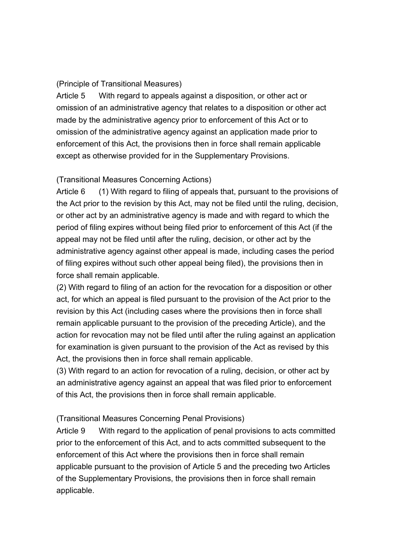#### (Principle of Transitional Measures)

Article 5 With regard to appeals against a disposition, or other act or omission of an administrative agency that relates to a disposition or other act made by the administrative agency prior to enforcement of this Act or to omission of the administrative agency against an application made prior to enforcement of this Act, the provisions then in force shall remain applicable except as otherwise provided for in the Supplementary Provisions.

#### (Transitional Measures Concerning Actions)

Article 6 (1) With regard to filing of appeals that, pursuant to the provisions of the Act prior to the revision by this Act, may not be filed until the ruling, decision, or other act by an administrative agency is made and with regard to which the period of filing expires without being filed prior to enforcement of this Act (if the appeal may not be filed until after the ruling, decision, or other act by the administrative agency against other appeal is made, including cases the period of filing expires without such other appeal being filed), the provisions then in force shall remain applicable.

(2) With regard to filing of an action for the revocation for a disposition or other act, for which an appeal is filed pursuant to the provision of the Act prior to the revision by this Act (including cases where the provisions then in force shall remain applicable pursuant to the provision of the preceding Article), and the action for revocation may not be filed until after the ruling against an application for examination is given pursuant to the provision of the Act as revised by this Act, the provisions then in force shall remain applicable.

(3) With regard to an action for revocation of a ruling, decision, or other act by an administrative agency against an appeal that was filed prior to enforcement of this Act, the provisions then in force shall remain applicable.

#### (Transitional Measures Concerning Penal Provisions)

Article 9 With regard to the application of penal provisions to acts committed prior to the enforcement of this Act, and to acts committed subsequent to the enforcement of this Act where the provisions then in force shall remain applicable pursuant to the provision of Article 5 and the preceding two Articles of the Supplementary Provisions, the provisions then in force shall remain applicable.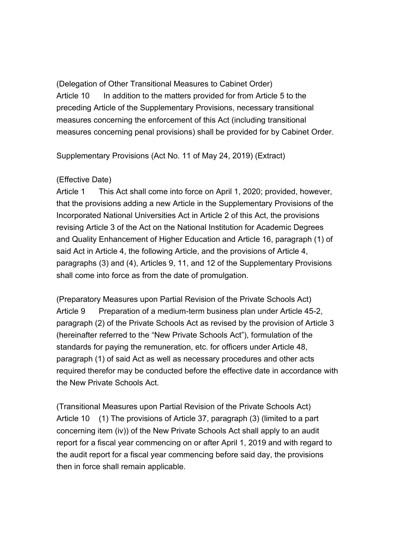(Delegation of Other Transitional Measures to Cabinet Order) Article 10 In addition to the matters provided for from Article 5 to the preceding Article of the Supplementary Provisions, necessary transitional measures concerning the enforcement of this Act (including transitional measures concerning penal provisions) shall be provided for by Cabinet Order.

Supplementary Provisions (Act No. 11 of May 24, 2019) (Extract)

#### (Effective Date)

Article 1 This Act shall come into force on April 1, 2020; provided, however, that the provisions adding a new Article in the Supplementary Provisions of the Incorporated National Universities Act in Article 2 of this Act, the provisions revising Article 3 of the Act on the National Institution for Academic Degrees and Quality Enhancement of Higher Education and Article 16, paragraph (1) of said Act in Article 4, the following Article, and the provisions of Article 4, paragraphs (3) and (4), Articles 9, 11, and 12 of the Supplementary Provisions shall come into force as from the date of promulgation.

(Preparatory Measures upon Partial Revision of the Private Schools Act) Article 9 Preparation of a medium-term business plan under Article 45-2, paragraph (2) of the Private Schools Act as revised by the provision of Article 3 (hereinafter referred to the "New Private Schools Act"), formulation of the standards for paying the remuneration, etc. for officers under Article 48, paragraph (1) of said Act as well as necessary procedures and other acts required therefor may be conducted before the effective date in accordance with the New Private Schools Act.

(Transitional Measures upon Partial Revision of the Private Schools Act) Article 10 (1) The provisions of Article 37, paragraph (3) (limited to a part concerning item (iv)) of the New Private Schools Act shall apply to an audit report for a fiscal year commencing on or after April 1, 2019 and with regard to the audit report for a fiscal year commencing before said day, the provisions then in force shall remain applicable.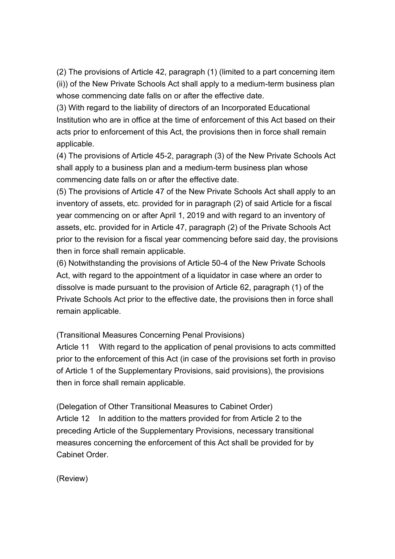(2) The provisions of Article 42, paragraph (1) (limited to a part concerning item (ii)) of the New Private Schools Act shall apply to a medium-term business plan whose commencing date falls on or after the effective date.

(3) With regard to the liability of directors of an Incorporated Educational Institution who are in office at the time of enforcement of this Act based on their acts prior to enforcement of this Act, the provisions then in force shall remain applicable.

(4) The provisions of Article 45-2, paragraph (3) of the New Private Schools Act shall apply to a business plan and a medium-term business plan whose commencing date falls on or after the effective date.

(5) The provisions of Article 47 of the New Private Schools Act shall apply to an inventory of assets, etc. provided for in paragraph (2) of said Article for a fiscal year commencing on or after April 1, 2019 and with regard to an inventory of assets, etc. provided for in Article 47, paragraph (2) of the Private Schools Act prior to the revision for a fiscal year commencing before said day, the provisions then in force shall remain applicable.

(6) Notwithstanding the provisions of Article 50-4 of the New Private Schools Act, with regard to the appointment of a liquidator in case where an order to dissolve is made pursuant to the provision of Article 62, paragraph (1) of the Private Schools Act prior to the effective date, the provisions then in force shall remain applicable.

(Transitional Measures Concerning Penal Provisions)

Article 11 With regard to the application of penal provisions to acts committed prior to the enforcement of this Act (in case of the provisions set forth in proviso of Article 1 of the Supplementary Provisions, said provisions), the provisions then in force shall remain applicable.

(Delegation of Other Transitional Measures to Cabinet Order) Article 12 In addition to the matters provided for from Article 2 to the preceding Article of the Supplementary Provisions, necessary transitional measures concerning the enforcement of this Act shall be provided for by Cabinet Order.

(Review)